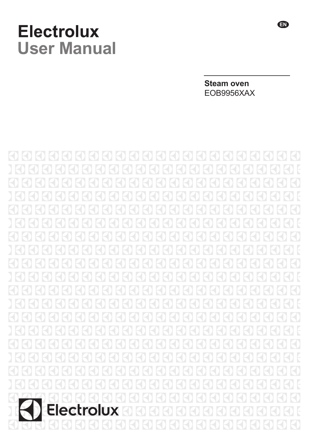# **Electrolux User Manual**

**Steam oven** EOB9956XAX

 $(\zeta)$ ZŊ  $\left( \frac{1}{2} \right)$ K F F F **Electrolux** ŀ  $\bigcirc$ R

**EN**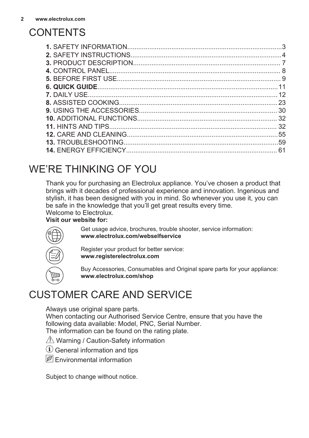## **CONTENTS**

|                             | 3   |
|-----------------------------|-----|
|                             |     |
|                             |     |
|                             |     |
|                             |     |
|                             |     |
|                             |     |
|                             | -23 |
|                             |     |
|                             |     |
|                             |     |
|                             |     |
| <b>13. TROUBLESHOOTING.</b> |     |
|                             | 61  |
|                             |     |

## WE'RE THINKING OF YOU

Thank you for purchasing an Electrolux appliance. You've chosen a product that brings with it decades of professional experience and innovation. Ingenious and stylish, it has been designed with you in mind. So whenever you use it, you can be safe in the knowledge that you'll get great results every time. Welcome to Electrolux.

#### **Visit our website for:**



Get usage advice, brochures, trouble shooter, service information: **www.electrolux.com/webselfservice**

Register your product for better service: **www.registerelectrolux.com**

Buy Accessories, Consumables and Original spare parts for your appliance: **www.electrolux.com/shop**

## CUSTOMER CARE AND SERVICE

Always use original spare parts.

When contacting our Authorised Service Centre, ensure that you have the following data available: Model, PNC, Serial Number. The information can be found on the rating plate.

- $\triangle$  Warning / Caution-Safety information
- General information and tips
- $\boxed{\mathscr{B}}$  Fnvironmental information

Subject to change without notice.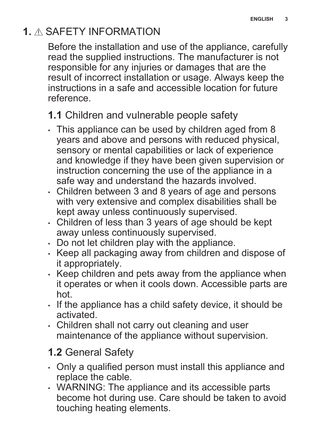## <span id="page-2-0"></span>**1.** SAFETY INFORMATION

Before the installation and use of the appliance, carefully read the supplied instructions. The manufacturer is not responsible for any injuries or damages that are the result of incorrect installation or usage. Always keep the instructions in a safe and accessible location for future reference.

## **1.1** Children and vulnerable people safety

- This appliance can be used by children aged from 8 years and above and persons with reduced physical, sensory or mental capabilities or lack of experience and knowledge if they have been given supervision or instruction concerning the use of the appliance in a safe way and understand the hazards involved.
- Children between 3 and 8 years of age and persons with very extensive and complex disabilities shall be kept away unless continuously supervised.
- Children of less than 3 years of age should be kept away unless continuously supervised.
- Do not let children play with the appliance.
- Keep all packaging away from children and dispose of it appropriately.
- Keep children and pets away from the appliance when it operates or when it cools down. Accessible parts are hot.
- If the appliance has a child safety device, it should be activated.
- Children shall not carry out cleaning and user maintenance of the appliance without supervision.

## **1.2** General Safety

- Only a qualified person must install this appliance and replace the cable.
- WARNING: The appliance and its accessible parts become hot during use. Care should be taken to avoid touching heating elements.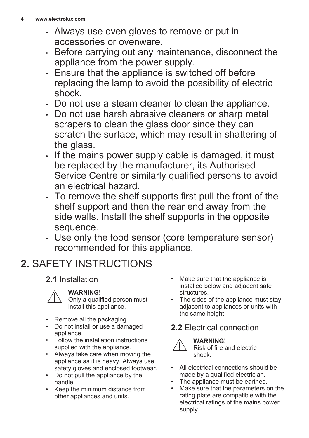- <span id="page-3-0"></span>• Always use oven gloves to remove or put in accessories or ovenware.
- Before carrying out any maintenance, disconnect the appliance from the power supply.
- Ensure that the appliance is switched off before replacing the lamp to avoid the possibility of electric shock.
- Do not use a steam cleaner to clean the appliance.
- Do not use harsh abrasive cleaners or sharp metal scrapers to clean the glass door since they can scratch the surface, which may result in shattering of the glass.
- If the mains power supply cable is damaged, it must be replaced by the manufacturer, its Authorised Service Centre or similarly qualified persons to avoid an electrical hazard.
- To remove the shelf supports first pull the front of the shelf support and then the rear end away from the side walls. Install the shelf supports in the opposite sequence.
- Use only the food sensor (core temperature sensor) recommended for this appliance.

# **2.** SAFETY INSTRUCTIONS

### **2.1** Installation

### **WARNING!**

Only a qualified person must install this appliance.

- Remove all the packaging.
- Do not install or use a damaged appliance.
- Follow the installation instructions supplied with the appliance.
- Always take care when moving the appliance as it is heavy. Always use safety gloves and enclosed footwear.
- Do not pull the appliance by the handle.
- Keep the minimum distance from other appliances and units.
- Make sure that the appliance is installed below and adjacent safe structures.
- The sides of the appliance must stay adjacent to appliances or units with the same height.

### **2.2** Electrical connection



#### **WARNING!**

Risk of fire and electric shock.

- All electrical connections should be made by a qualified electrician.
- The appliance must be earthed.<br>• Make sure that the parameters of
- Make sure that the parameters on the rating plate are compatible with the electrical ratings of the mains power supply.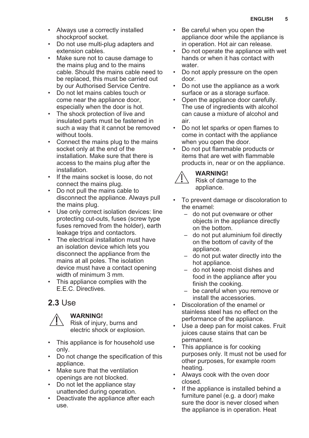- Always use a correctly installed shockproof socket.
- Do not use multi-plug adapters and extension cables.
- Make sure not to cause damage to the mains plug and to the mains cable. Should the mains cable need to be replaced, this must be carried out by our Authorised Service Centre.
- Do not let mains cables touch or come near the appliance door, especially when the door is hot.
- The shock protection of live and insulated parts must be fastened in such a way that it cannot be removed without tools.
- Connect the mains plug to the mains socket only at the end of the installation. Make sure that there is access to the mains plug after the installation.
- If the mains socket is loose, do not connect the mains plug.
- Do not pull the mains cable to disconnect the appliance. Always pull the mains plug.
- Use only correct isolation devices: line protecting cut-outs, fuses (screw type fuses removed from the holder), earth leakage trips and contactors.
- The electrical installation must have an isolation device which lets you disconnect the appliance from the mains at all poles. The isolation device must have a contact opening width of minimum 3 mm.
- This appliance complies with the E.E.C. Directives.

### **2.3** Use

**WARNING!** Risk of injury, burns and

electric shock or explosion.

- This appliance is for household use only.
- Do not change the specification of this appliance.
- Make sure that the ventilation openings are not blocked.
- Do not let the appliance stay unattended during operation.
- Deactivate the appliance after each use.
- Be careful when you open the appliance door while the appliance is in operation. Hot air can release.
- Do not operate the appliance with wet hands or when it has contact with water.
- Do not apply pressure on the open door.
- Do not use the appliance as a work surface or as a storage surface.
- Open the appliance door carefully. The use of ingredients with alcohol can cause a mixture of alcohol and air.
- Do not let sparks or open flames to come in contact with the appliance when you open the door.
- Do not put flammable products or items that are wet with flammable products in, near or on the appliance.



#### **WARNING!**

Risk of damage to the appliance.

- To prevent damage or discoloration to the enamel:
	- do not put ovenware or other objects in the appliance directly on the bottom.
	- do not put aluminium foil directly on the bottom of cavity of the appliance.
	- do not put water directly into the hot appliance.
	- do not keep moist dishes and food in the appliance after you finish the cooking.
	- be careful when you remove or install the accessories.
- Discoloration of the enamel or stainless steel has no effect on the performance of the appliance.
- Use a deep pan for moist cakes. Fruit juices cause stains that can be permanent.
- This appliance is for cooking purposes only. It must not be used for other purposes, for example room heating.
- Always cook with the oven door closed.
- If the appliance is installed behind a furniture panel (e.g. a door) make sure the door is never closed when the appliance is in operation. Heat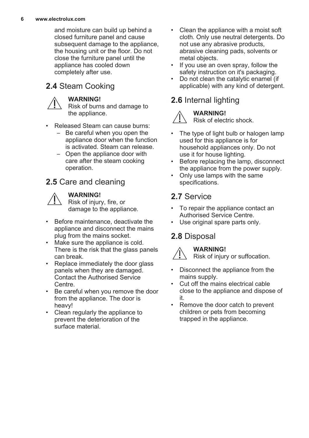and moisture can build up behind a closed furniture panel and cause subsequent damage to the appliance, the housing unit or the floor. Do not close the furniture panel until the appliance has cooled down completely after use.

### **2.4** Steam Cooking

#### **WARNING!**

Risk of burns and damage to the appliance.

- Released Steam can cause burns:
	- Be careful when you open the appliance door when the function is activated. Steam can release.
	- Open the appliance door with care after the steam cooking operation.

### **2.5** Care and cleaning



#### **WARNING!**

Risk of injury, fire, or damage to the appliance.

- Before maintenance, deactivate the appliance and disconnect the mains plug from the mains socket.
- Make sure the appliance is cold. There is the risk that the glass panels can break.
- Replace immediately the door glass panels when they are damaged. Contact the Authorised Service Centre.
- Be careful when you remove the door from the appliance. The door is heavy!
- Clean regularly the appliance to prevent the deterioration of the surface material.
- Clean the appliance with a moist soft cloth. Only use neutral detergents. Do not use any abrasive products, abrasive cleaning pads, solvents or metal objects.
- If you use an oven spray, follow the safety instruction on it's packaging.
- Do not clean the catalytic enamel (if applicable) with any kind of detergent.

### **2.6** Internal lighting



#### **WARNING!** Risk of electric shock.

- The type of light bulb or halogen lamp used for this appliance is for household appliances only. Do not use it for house lighting.
- Before replacing the lamp, disconnect the appliance from the power supply.
- Only use lamps with the same specifications.

### **2.7** Service

- To repair the appliance contact an Authorised Service Centre.
- Use original spare parts only.

### **2.8** Disposal



Risk of injury or suffocation.

- Disconnect the appliance from the mains supply.
- Cut off the mains electrical cable close to the appliance and dispose of it.
- Remove the door catch to prevent children or pets from becoming trapped in the appliance.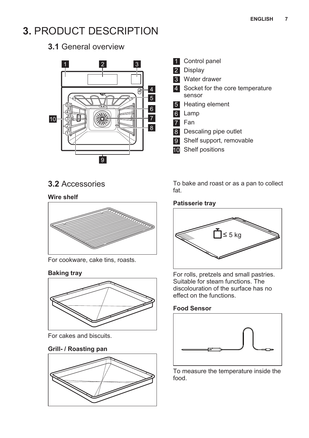## <span id="page-6-0"></span>**3.** PRODUCT DESCRIPTION

**3.1** General overview



**3.2** Accessories

#### **Wire shelf**



For cookware, cake tins, roasts.

#### **Baking tray**



For cakes and biscuits.

#### **Grill- / Roasting pan**



- 1 Control panel
- 2 Display
- 3 Water drawer
- 4 Socket for the core temperature sensor
- 5 Heating element
- 6 Lamp
- 7 Fan
- 8 Descaling pipe outlet
- 9 Shelf support, removable
- 10 Shelf positions

To bake and roast or as a pan to collect fat.

#### **Patisserie tray**



For rolls, pretzels and small pastries. Suitable for steam functions. The discolouration of the surface has no effect on the functions.

#### **Food Sensor**



To measure the temperature inside the food.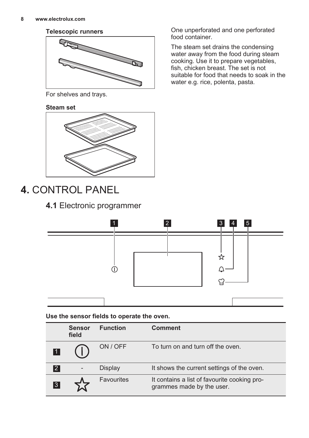#### <span id="page-7-0"></span>**Telescopic runners**



For shelves and trays.

#### **Steam set**



## **4.** CONTROL PANEL

### **4.1** Electronic programmer

1 2 3 4 5 ☆ ∩ Δ  $\widetilde{H}$ 

**Use the sensor fields to operate the oven.**

|    | <b>Sensor</b><br>field | <b>Function</b> | <b>Comment</b>                                                            |
|----|------------------------|-----------------|---------------------------------------------------------------------------|
|    |                        | ON / OFF        | To turn on and turn off the oven.                                         |
| 2  |                        | Display         | It shows the current settings of the oven.                                |
| 13 |                        | Favourites      | It contains a list of favourite cooking pro-<br>grammes made by the user. |

One unperforated and one perforated food container.

The steam set drains the condensing water away from the food during steam cooking. Use it to prepare vegetables, fish, chicken breast. The set is not suitable for food that needs to soak in the water e.g. rice, polenta, pasta.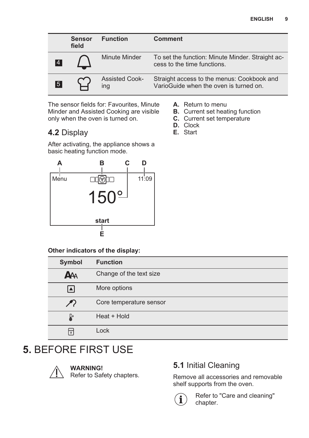<span id="page-8-0"></span>

|    | <b>Sensor</b><br>field | <b>Function</b>              | <b>Comment</b>                                                                       |
|----|------------------------|------------------------------|--------------------------------------------------------------------------------------|
| 4  |                        | Minute Minder                | To set the function: Minute Minder. Straight ac-<br>cess to the time functions.      |
| 15 |                        | <b>Assisted Cook-</b><br>ing | Straight access to the menus: Cookbook and<br>VarioGuide when the oven is turned on. |

The sensor fields for: Favourites, Minute Minder and Assisted Cooking are visible only when the oven is turned on.

### **4.2** Display

**A.** Return to menu

- **B.** Current set heating function
- **C.** Current set temperature
- **D.** Clock
- **E.** Start

After activating, the appliance shows a basic heating function mode.



**Other indicators of the display:**

| Symbol        | <b>Function</b>         |
|---------------|-------------------------|
| <b>AAA</b>    | Change of the text size |
| l▲l           | More options            |
| $\mathcal{F}$ | Core temperature sensor |
| Ŀ             | Heat + Hold             |
|               | Lock                    |

## **5.** BEFORE FIRST USE



**WARNING!**

Refer to Safety chapters.

### **5.1** Initial Cleaning

Remove all accessories and removable shelf supports from the oven.



Refer to "Care and cleaning" chapter.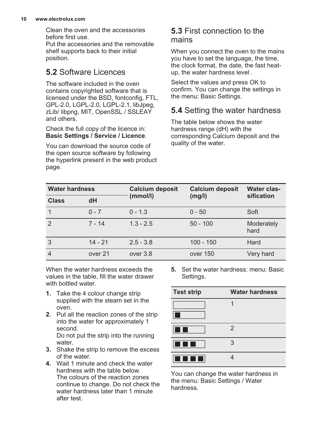#### **10 www.electrolux.com**

Clean the oven and the accessories before first use.

Put the accessories and the removable shelf supports back to their initial position.

### **5.2** Software Licences

The software included in the oven contains copyrighted software that is licensed under the BSD, fontconfig, FTL, GPL-2.0, LGPL-2.0, LGPL-2.1, libJpeg, zLib/ libpng, MIT, OpenSSL / SSLEAY and others.

Check the full copy of the licence in: **Basic Settings / Service / Licence**.

You can download the source code of the open source software by following the hyperlink present in the web product page.

#### **5.3** First connection to the mains

When you connect the oven to the mains you have to set the language, the time, the clock format, the date, the fast heatup, the water hardness level .

Select the values and press OK to confirm. You can change the settings in the menu: Basic Settings.

### **5.4** Setting the water hardness

The table below shows the water hardness range (dH) with the corresponding Calcium deposit and the quality of the water.

| <b>Water hardness</b> |           | <b>Calcium deposit</b> | <b>Calcium deposit</b> | Water clas-<br>sification |  |
|-----------------------|-----------|------------------------|------------------------|---------------------------|--|
| <b>Class</b>          | dH        | (mmol/l)               | (mg/l)                 |                           |  |
|                       | $0 - 7$   | $0 - 1.3$              | $0 - 50$               | Soft                      |  |
| $\mathfrak{p}$        | $7 - 14$  | $1.3 - 2.5$            | $50 - 100$             | Moderately<br>hard        |  |
| 3                     | $14 - 21$ | $2.5 - 3.8$            | $100 - 150$            | Hard                      |  |
| $\overline{4}$        | over 21   | over 3.8               | over 150               | Very hard                 |  |

When the water hardness exceeds the values in the table, fill the water drawer with bottled water.

- **1.** Take the 4 colour change strip supplied with the steam set in the oven.
- **2.** Put all the reaction zones of the strip into the water for approximately 1 second. Do not put the strip into the running water.
- **3.** Shake the strip to remove the excess of the water.
- **4.** Wait 1 minute and check the water hardness with the table below. The colours of the reaction zones continue to change. Do not check the water hardness later than 1 minute after test.

**5.** Set the water hardness: menu: Basic Settings.

| <b>Test strip</b>                                | <b>Water hardness</b> |
|--------------------------------------------------|-----------------------|
|                                                  |                       |
| <b>Service Service</b><br><b>Service Service</b> | $\mathcal{P}$         |
|                                                  | 3                     |
|                                                  |                       |

You can change the water hardness in the menu: Basic Settings / Water hardness.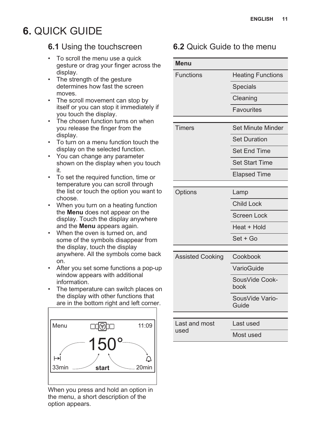## <span id="page-10-0"></span>**6.** QUICK GUIDE

### **6.1** Using the touchscreen

- To scroll the menu use a quick gesture or drag your finger across the display.
- The strength of the gesture determines how fast the screen moves.
- The scroll movement can stop by itself or you can stop it immediately if you touch the display.
- The chosen function turns on when you release the finger from the display.
- To turn on a menu function touch the display on the selected function.
- You can change any parameter shown on the display when you touch it.
- To set the required function, time or temperature you can scroll through the list or touch the option you want to choose.
- When you turn on a heating function the **Menu** does not appear on the display. Touch the display anywhere and the **Menu** appears again.
- When the oven is turned on, and some of the symbols disappear from the display, touch the display anywhere. All the symbols come back on.
- After you set some functions a pop-up window appears with additional information.
- The temperature can switch places on the display with other functions that are in the bottom right and left corner.



When you press and hold an option in the menu, a short description of the option appears.

### **6.2** Quick Guide to the menu

| <b>Menu</b>             |                          |  |
|-------------------------|--------------------------|--|
| Functions               | <b>Heating Functions</b> |  |
|                         | Specials                 |  |
|                         | Cleaning                 |  |
|                         | Favourites               |  |
| <b>Timers</b>           | Set Minute Minder        |  |
|                         |                          |  |
|                         | <b>Set Duration</b>      |  |
|                         | Set End Time             |  |
|                         | <b>Set Start Time</b>    |  |
|                         | <b>Elapsed Time</b>      |  |
|                         |                          |  |
| Options                 | Lamp                     |  |
|                         | <b>Child Lock</b>        |  |
|                         | <b>Screen Lock</b>       |  |
|                         | Heat + Hold              |  |
|                         | Set + Go                 |  |
| <b>Assisted Cooking</b> | Cookbook                 |  |
|                         | VarioGuide               |  |
|                         | SousVide Cook-<br>book   |  |
|                         | SousVide Vario-<br>Guide |  |
|                         |                          |  |
| Last and most<br>used   | Last used                |  |
|                         | Most used                |  |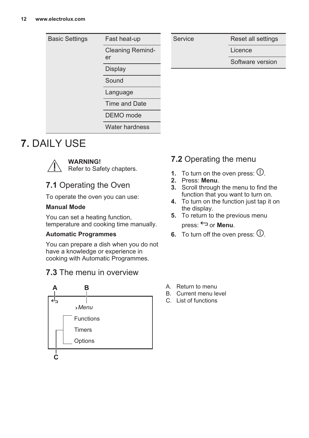<span id="page-11-0"></span>

| <b>Basic Settings</b> | Fast heat-up                  |  |
|-----------------------|-------------------------------|--|
|                       | <b>Cleaning Remind-</b><br>er |  |
|                       | Display                       |  |
|                       | Sound                         |  |
|                       | Language                      |  |
|                       | Time and Date                 |  |
|                       | DEMO mode                     |  |
|                       | Water hardness                |  |

Service Reset all settings

Licence

Software version

## **7.** DAILY USE



#### **WARNING!**

Refer to Safety chapters.

### **7.1** Operating the Oven

To operate the oven you can use:

#### **Manual Mode**

You can set a heating function, temperature and cooking time manually.

#### **Automatic Programmes**

You can prepare a dish when you do not have a knowledge or experience in cooking with Automatic Programmes.

### **7.3** The menu in overview



### **7.2** Operating the menu

- **1.** To turn on the oven press:  $\mathbb{O}$ .
- **2.** Press: **Menu**.
- **3.** Scroll through the menu to find the function that you want to turn on.
- **4.** To turn on the function just tap it on the display.
- **5.** To return to the previous menu press:  $\ominus$  or **Menu**.
- **6.** To turn off the oven press:  $\mathbb{U}$ .

- A. Return to menu
- B. Current menu level
- C. List of functions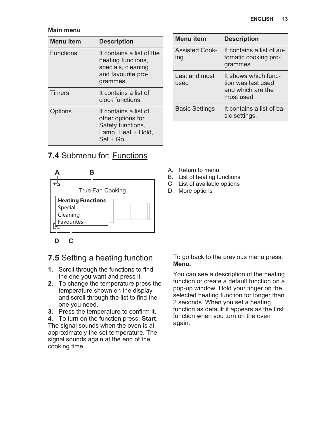#### **Main menu**

| Menu item        | <b>Description</b>                                                                                      |
|------------------|---------------------------------------------------------------------------------------------------------|
| <b>Functions</b> | It contains a list of the<br>heating functions,<br>specials, cleaning<br>and favourite pro-<br>grammes. |
| <b>Timers</b>    | It contains a list of<br>clock functions.                                                               |
| Options          | It contains a list of<br>other options for<br>Safety functions,<br>Lamp, Heat + Hold,<br>Set + Go.      |

| 7.4 Submenu for: Functions |  |
|----------------------------|--|
|----------------------------|--|



| Menu item                    | <b>Description</b>                                                            |
|------------------------------|-------------------------------------------------------------------------------|
| <b>Assisted Cook-</b><br>ing | It contains a list of au-<br>tomatic cooking pro-<br>grammes.                 |
| Last and most<br>used        | It shows which func-<br>tion was last used<br>and which are the<br>most used. |
| <b>Basic Settings</b>        | It contains a list of ba-<br>sic settings.                                    |

- A. Return to menu
- B. List of heating functions
- C. List of available options
- D. More options

### **7.5** Setting a heating function

- **1.** Scroll through the functions to find the one you want and press it.
- **2.** To change the temperature press the temperature shown on the display and scroll through the list to find the one you need.
- **3.** Press the temperature to confirm it.
- **4.** To turn on the function press: **Start**.

The signal sounds when the oven is at approximately the set temperature. The signal sounds again at the end of the cooking time.

To go back to the previous menu press: **Menu**.

You can see a description of the heating function or create a default function on a pop-up window. Hold your finger on the selected heating function for longer than 2 seconds. When you set a heating function as default it appears as the first function when you turn on the oven again.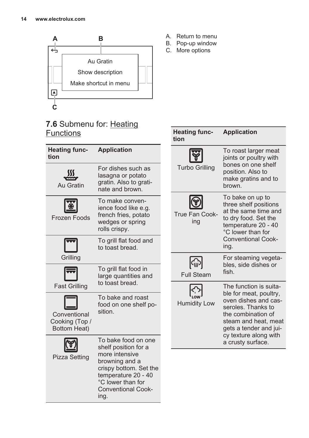

### **7.6** Submenu for: Heating **Functions**

| <b>Heating func-</b><br>tion                          | <b>Application</b>                                                                                                                                                                         |                      |
|-------------------------------------------------------|--------------------------------------------------------------------------------------------------------------------------------------------------------------------------------------------|----------------------|
| Au Gratin                                             | For dishes such as<br>lasagna or potato<br>gratin. Also to grati-<br>nate and brown.                                                                                                       | <b>Turbo Grillin</b> |
| Frozen Foods                                          | To make conven-<br>ience food like e.g.<br>french fries, potato<br>wedges or spring<br>rolls crispy.                                                                                       | True Fan Coo<br>ing  |
| Grilling                                              | To grill flat food and<br>to toast bread.                                                                                                                                                  |                      |
|                                                       | To grill flat food in                                                                                                                                                                      |                      |
|                                                       | large quantities and<br>to toast bread.                                                                                                                                                    | <b>Full Steam</b>    |
| <b>Fast Grilling</b>                                  | To bake and roast                                                                                                                                                                          |                      |
| Conventional<br>Cooking (Top /<br><b>Bottom Heat)</b> | food on one shelf po-<br>sition.                                                                                                                                                           | <b>Humidity Lo</b>   |
| Pizza Setting                                         | To bake food on one<br>shelf position for a<br>more intensive<br>browning and a<br>crispy bottom. Set the<br>temperature 20 - 40<br>°C lower than for<br><b>Conventional Cook-</b><br>ing. |                      |

- A. Return to menu
- B. Pop-up window
- C. More options

| <b>Heating func-</b><br>tion       | <b>Application</b>                                                                                                                                                                                                   |
|------------------------------------|----------------------------------------------------------------------------------------------------------------------------------------------------------------------------------------------------------------------|
| <b>Turbo Grilling</b>              | To roast larger meat<br>joints or poultry with<br>bones on one shelf<br>position. Also to<br>make gratins and to<br>brown.                                                                                           |
| True Fan Cook-<br>ing              | To bake on up to<br>three shelf positions<br>at the same time and<br>to dry food. Set the<br>temperature 20 - 40<br>°C lower than for<br><b>Conventional Cook-</b><br>ing.                                           |
| $ \mathbb{G}$<br><b>Full Steam</b> | For steaming vegeta-<br>bles, side dishes or<br>fish.                                                                                                                                                                |
| <b>Humidity Low</b>                | The function is suita-<br>ble for meat, poultry,<br>oven dishes and cas-<br>seroles. Thanks to<br>the combination of<br>steam and heat, meat<br>gets a tender and jui-<br>cy texture along with<br>a crusty surface. |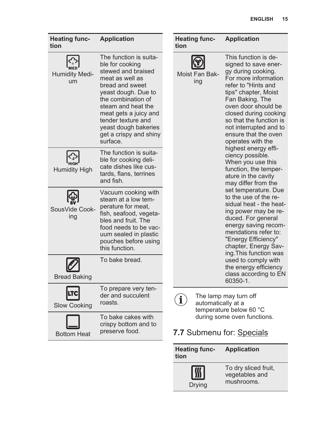| <b>Heating func-</b><br>tion | <b>Application</b>                                                                                                                                                                                                                                                                    | tion | <b>Heating func-</b>  | <b>Application</b>                                                                                                                                                                                                                                                                                             |
|------------------------------|---------------------------------------------------------------------------------------------------------------------------------------------------------------------------------------------------------------------------------------------------------------------------------------|------|-----------------------|----------------------------------------------------------------------------------------------------------------------------------------------------------------------------------------------------------------------------------------------------------------------------------------------------------------|
| <b>Humidity Medi-</b><br>um  | The function is suita-<br>ble for cooking<br>stewed and braised<br>meat as well as<br>bread and sweet<br>yeast dough. Due to<br>the combination of<br>steam and heat the<br>meat gets a juicy and<br>tender texture and<br>yeast dough bakeries<br>get a crispy and shiny<br>surface. |      | Moist Fan Bak-<br>ing | This function is de-<br>signed to save ener-<br>gy during cooking.<br>For more information<br>refer to "Hints and<br>tips" chapter, Moist<br>Fan Baking. The<br>oven door should be<br>closed during cooking<br>so that the function is<br>not interrupted and to<br>ensure that the oven<br>operates with the |
| <b>Humidity High</b>         | The function is suita-<br>ble for cooking deli-<br>cate dishes like cus-<br>tards, flans, terrines<br>and fish.                                                                                                                                                                       |      |                       | highest energy effi-<br>ciency possible.<br>When you use this<br>function, the temper-<br>ature in the cavity<br>may differ from the                                                                                                                                                                           |
| SousVide Cook-<br>ing        | Vacuum cooking with<br>steam at a low tem-<br>perature for meat.<br>fish, seafood, vegeta-<br>bles and fruit. The<br>food needs to be vac-<br>uum sealed in plastic<br>pouches before using<br>this function.                                                                         |      |                       | set temperature. Due<br>to the use of the re-<br>sidual heat - the heat-<br>ing power may be re-<br>duced. For general<br>energy saving recom-<br>mendations refer to:<br>"Energy Efficiency"<br>chapter, Energy Sav-<br>ing. This function was                                                                |
| <b>Bread Baking</b>          | To bake bread.                                                                                                                                                                                                                                                                        |      |                       | used to comply with<br>the energy efficiency<br>class according to EN<br>60350-1.                                                                                                                                                                                                                              |
| Slow Cooking                 | To prepare very ten-<br>der and succulent<br>roasts.                                                                                                                                                                                                                                  | i    | automatically at a    | The lamp may turn off<br>temperature below 60 °C                                                                                                                                                                                                                                                               |
| <b>Bottom Heat</b>           | To bake cakes with<br>crispy bottom and to<br>preserve food.                                                                                                                                                                                                                          |      |                       | during some oven functions.<br>7.7 Submenu for: Specials                                                                                                                                                                                                                                                       |

| <b>Heating func-</b><br>tion | <b>Application</b>                                   |
|------------------------------|------------------------------------------------------|
| <b>Drying</b>                | To dry sliced fruit,<br>vegetables and<br>mushrooms. |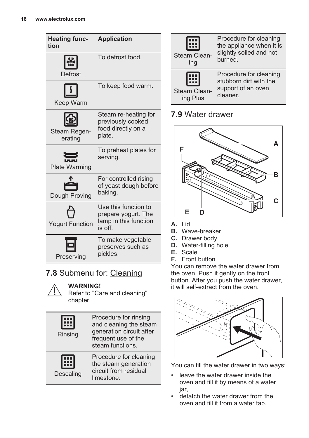| <b>Heating func-</b><br>tion | <b>Application</b>                                                              |
|------------------------------|---------------------------------------------------------------------------------|
| Defrost                      | To defrost food.                                                                |
| Keep Warm                    | To keep food warm.                                                              |
| Steam Regen-<br>erating      | Steam re-heating for<br>previously cooked<br>food directly on a<br>plate.       |
| <b>Plate Warming</b>         | To preheat plates for<br>serving.                                               |
| Dough Proving                | For controlled rising<br>of yeast dough before<br>baking.                       |
| <b>Yogurt Function</b>       | Use this function to<br>prepare yogurt. The<br>lamp in this function<br>is off. |
| Preserving                   | To make vegetable<br>preserves such as<br>pickles.                              |
|                              |                                                                                 |

### **7.8** Submenu for: Cleaning



### **WARNING!**

Refer to "Care and cleaning" chapter.

| Rinsing   | Procedure for rinsing<br>and cleaning the steam<br>generation circuit after<br>frequent use of the<br>steam functions. |
|-----------|------------------------------------------------------------------------------------------------------------------------|
| Descaling | Procedure for cleaning<br>the steam generation<br>circuit from residual<br>limestone.                                  |



### **7.9** Water drawer



#### **A.** Lid

- **B.** Wave-breaker
- **C.** Drawer body
- **D.** Water-filling hole
- **E.** Scale
- **F.** Front button

You can remove the water drawer from the oven. Push it gently on the front button. After you push the water drawer, it will self-extract from the oven.



You can fill the water drawer in two ways:

- leave the water drawer inside the oven and fill it by means of a water jar,
- detatch the water drawer from the oven and fill it from a water tap.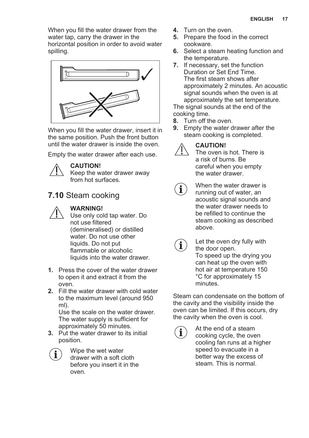When you fill the water drawer from the water tap, carry the drawer in the horizontal position in order to avoid water spilling.



When you fill the water drawer, insert it in the same position. Push the front button until the water drawer is inside the oven.

Empty the water drawer after each use.



#### **CAUTION!**

Keep the water drawer away from hot surfaces.

### **7.10** Steam cooking



#### **WARNING!**

- Use only cold tap water. Do not use filtered (demineralised) or distilled water. Do not use other liquids. Do not put flammable or alcoholic liquids into the water drawer.
- **1.** Press the cover of the water drawer to open it and extract it from the oven.
- **2.** Fill the water drawer with cold water to the maximum level (around 950 ml).

Use the scale on the water drawer. The water supply is sufficient for approximately 50 minutes.

**3.** Put the water drawer to its initial position.

Wipe the wet water drawer with a soft cloth before you insert it in the oven.

- **4.** Turn on the oven.
- **5.** Prepare the food in the correct cookware.
- **6.** Select a steam heating function and the temperature.
- **7.** If necessary, set the function Duration or Set End Time. The first steam shows after approximately 2 minutes. An acoustic signal sounds when the oven is at approximately the set temperature.

The signal sounds at the end of the cooking time.

- **8.** Turn off the oven.<br>**9.** Empty the water d
- **9.** Empty the water drawer after the steam cooking is completed.



 $\mathbf i$ 

#### **CAUTION!**

The oven is hot. There is a risk of burns. Be careful when you empty the water drawer.

When the water drawer is running out of water, an acoustic signal sounds and the water drawer needs to be refilled to continue the steam cooking as described above.



Let the oven dry fully with the door open. To speed up the drying you can heat up the oven with hot air at temperature 150 °C for approximately 15 minutes.

Steam can condensate on the bottom of the cavity and the visibility inside the oven can be limited. If this occurs, dry the cavity when the oven is cool.

At the end of a steam cooking cycle, the oven cooling fan runs at a higher speed to evacuate in a better way the excess of steam. This is normal.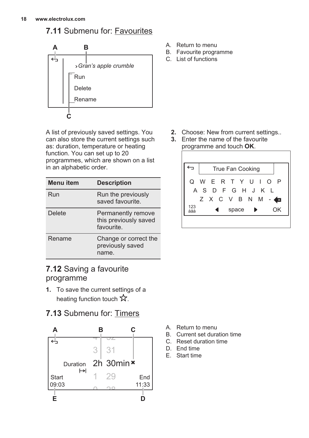### **7.11** Submenu for: Favourites



A list of previously saved settings. You can also store the current settings such as: duration, temperature or heating function. You can set up to 20 programmes, which are shown on a list in an alphabetic order.

| Menu item | <b>Description</b>                                        |
|-----------|-----------------------------------------------------------|
| Run       | Run the previously<br>saved favourite.                    |
| Delete    | Permanently remove<br>this previously saved<br>favourite. |
| Rename    | Change or correct the<br>previously saved<br>name.        |

### **7.12** Saving a favourite programme

- **1.** To save the current settings of a heating function touch  $\hat{\mathbf{x}}$ .
- **7.13** Submenu for: Timers



- A. Return to menu
- B. Favourite programme
- C. List of functions

- **2.** Choose: New from current settings..
- **3.** Enter the name of the favourite programme and touch **OK**.



- A. Return to menu
- B. Current set duration time
- C. Reset duration time
- D. End time
- E. Start time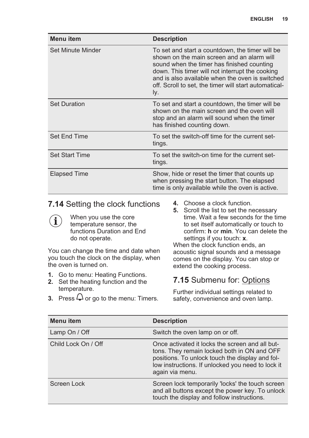| Menu item             | <b>Description</b>                                                                                                                                                                                                                                                                                                |
|-----------------------|-------------------------------------------------------------------------------------------------------------------------------------------------------------------------------------------------------------------------------------------------------------------------------------------------------------------|
| Set Minute Minder     | To set and start a countdown, the timer will be<br>shown on the main screen and an alarm will<br>sound when the timer has finished counting<br>down. This timer will not interrupt the cooking<br>and is also available when the oven is switched<br>off. Scroll to set, the timer will start automatical-<br>ly. |
| <b>Set Duration</b>   | To set and start a countdown, the timer will be<br>shown on the main screen and the oven will<br>stop and an alarm will sound when the timer<br>has finished counting down.                                                                                                                                       |
| Set Fnd Time          | To set the switch-off time for the current set-<br>tings.                                                                                                                                                                                                                                                         |
| <b>Set Start Time</b> | To set the switch-on time for the current set-<br>tings.                                                                                                                                                                                                                                                          |
| Elapsed Time          | Show, hide or reset the timer that counts up<br>when pressing the start button. The elapsed<br>time is only available while the oven is active.                                                                                                                                                                   |

### **7.14** Setting the clock functions

When you use the core  $\mathbf{\hat{i}}$ temperature sensor, the functions Duration and End do not operate.

You can change the time and date when you touch the clock on the display, when the oven is turned on.

- **1.** Go to menu: Heating Functions.
- **2.** Set the heating function and the temperature.
- **3.** Press  $\overline{Q}$  or go to the menu: Timers.
- **4.** Choose a clock function.
- **5.** Scroll the list to set the necessary time. Wait a few seconds for the time to set itself automatically or touch to confirm: **h** or **min**. You can delete the settings if you touch: **x**.

When the clock function ends, an acoustic signal sounds and a message comes on the display. You can stop or extend the cooking process.

### **7.15** Submenu for: Options

Further individual settings related to safety, convenience and oven lamp.

| Menu item           | <b>Description</b>                                                                                                                                                                                                        |
|---------------------|---------------------------------------------------------------------------------------------------------------------------------------------------------------------------------------------------------------------------|
| Lamp On / Off       | Switch the oven lamp on or off.                                                                                                                                                                                           |
| Child Lock On / Off | Once activated it locks the screen and all but-<br>tons. They remain locked both in ON and OFF<br>positions. To unlock touch the display and fol-<br>low instructions. If unlocked you need to lock it<br>again via menu. |
| Screen Lock         | Screen lock temporarily 'locks' the touch screen<br>and all buttons except the power key. To unlock<br>touch the display and follow instructions.                                                                         |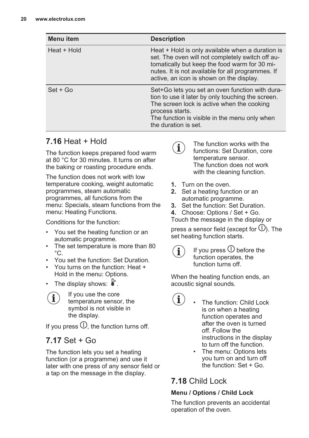| <b>Menu</b> item | <b>Description</b>                                                                                                                                                                                                                                       |
|------------------|----------------------------------------------------------------------------------------------------------------------------------------------------------------------------------------------------------------------------------------------------------|
| Heat + Hold      | Heat $+$ Hold is only available when a duration is<br>set. The oven will not completely switch off au-<br>tomatically but keep the food warm for 30 mi-<br>nutes. It is not available for all programmes. If<br>active, an icon is shown on the display. |
| $Set + Go$       | Set+Go lets you set an oven function with dura-<br>tion to use it later by only touching the screen.<br>The screen lock is active when the cooking<br>process starts.<br>The function is visible in the menu only when<br>the duration is set.           |

### **7.16** Heat + Hold

The function keeps prepared food warm at 80 °C for 30 minutes. It turns on after the baking or roasting procedure ends.

The function does not work with low temperature cooking, weight automatic programmes, steam automatic programmes, all functions from the menu: Specials, steam functions from the menu: Heating Functions.

Conditions for the function:

- You set the heating function or an automatic programme.
- The set temperature is more than 80  $^{\circ}$ C.
- You set the function: Set Duration.
- You turns on the function: Heat + Hold in the menu: Options.
- The display shows:  $\overrightarrow{a}$ .
	- If you use the core temperature sensor, the symbol is not visible in the display.

If you press  $\mathbb O$ , the function turns off.

### **7.17** Set + Go

The function lets you set a heating function (or a programme) and use it later with one press of any sensor field or a tap on the message in the display.

The function works with the  $\mathbf i$ functions: Set Duration, core temperature sensor. The function does not work with the cleaning function.

- **1.** Turn on the oven.
- **2.** Set a heating function or an automatic programme.
- **3.** Set the function: Set Duration.
- **4.** Choose: Options / Set + Go.

Touch the message in the display or

press a sensor field (except for  $\mathbb{U}$ ). The set heating function starts.



If you press  $\mathbb O$  before the function operates, the function turns off.

When the heating function ends, an acoustic signal sounds.

- i • The function: Child Lock is on when a heating function operates and after the oven is turned off. Follow the instructions in the display to turn off the function.
	- The menu: Options lets you turn on and turn off the function: Set + Go.

## **7.18** Child Lock

#### **Menu / Options / Child Lock**

The function prevents an accidental operation of the oven.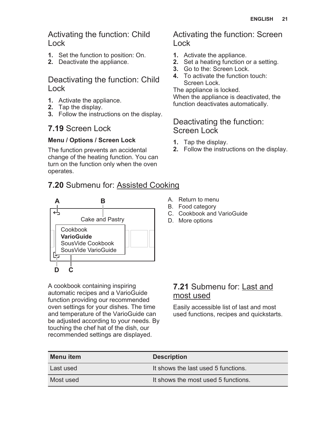Activating the function: Child Lock

- **1.** Set the function to position: On.
- **2.** Deactivate the appliance.

### Deactivating the function: Child Lock

- **1.** Activate the appliance.
- **2.** Tap the display.
- **3.** Follow the instructions on the display.

### **7.19** Screen Lock

#### **Menu / Options / Screen Lock**

The function prevents an accidental change of the heating function. You can turn on the function only when the oven operates.

### **7.20** Submenu for: Assisted Cooking



A cookbook containing inspiring automatic recipes and a VarioGuide function providing our recommended oven settings for your dishes. The time and temperature of the VarioGuide can be adjusted according to your needs. By touching the chef hat of the dish, our recommended settings are displayed.

#### Activating the function: Screen Lock

- **1.** Activate the appliance.
- **2.** Set a heating function or a setting.
- **3.** Go to the: Screen Lock.
- **4.** To activate the function touch: Screen Lock.

The appliance is locked. When the appliance is deactivated, the function deactivates automatically.

### Deactivating the function: Screen Lock

- **1.** Tap the display.
- **2.** Follow the instructions on the display.
- A. Return to menu
- B. Food category
- C. Cookbook and VarioGuide
- D. More options

### **7.21** Submenu for: Last and most used

Easily accessible list of last and most used functions, recipes and quickstarts.

| Menu item | <b>Description</b>                  |
|-----------|-------------------------------------|
| Last used | It shows the last used 5 functions. |
| Most used | It shows the most used 5 functions. |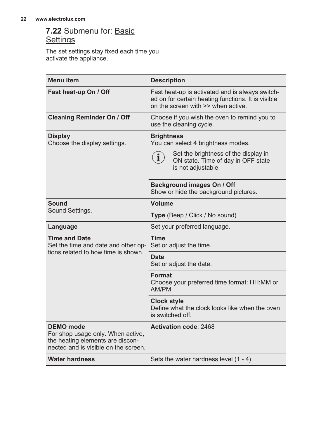### **7.22** Submenu for: Basic **Settings**

The set settings stay fixed each time you activate the appliance.

| <b>Menu</b> item                                                                                                                  | <b>Description</b>                                                                                                                          |  |
|-----------------------------------------------------------------------------------------------------------------------------------|---------------------------------------------------------------------------------------------------------------------------------------------|--|
| Fast heat-up On / Off                                                                                                             | Fast heat-up is activated and is always switch-<br>ed on for certain heating functions. It is visible<br>on the screen with >> when active. |  |
| <b>Cleaning Reminder On / Off</b>                                                                                                 | Choose if you wish the oven to remind you to<br>use the cleaning cycle.                                                                     |  |
| <b>Display</b><br>Choose the display settings.                                                                                    | <b>Brightness</b><br>You can select 4 brightness modes.                                                                                     |  |
|                                                                                                                                   | Set the brightness of the display in<br>$\mathbf{i}$<br>ON state. Time of day in OFF state<br>is not adjustable.                            |  |
|                                                                                                                                   | Background images On / Off<br>Show or hide the background pictures.                                                                         |  |
| <b>Sound</b>                                                                                                                      | Volume                                                                                                                                      |  |
| Sound Settings.                                                                                                                   | Type (Beep / Click / No sound)                                                                                                              |  |
| Language                                                                                                                          | Set your preferred language.                                                                                                                |  |
| <b>Time and Date</b><br>Set the time and date and other op-                                                                       | <b>Time</b><br>Set or adjust the time.                                                                                                      |  |
| tions related to how time is shown.                                                                                               | <b>Date</b><br>Set or adjust the date.                                                                                                      |  |
|                                                                                                                                   | Format<br>Choose your preferred time format: HH:MM or<br>AM/PM.                                                                             |  |
|                                                                                                                                   | <b>Clock style</b><br>Define what the clock looks like when the oven<br>is switched off.                                                    |  |
| <b>DEMO</b> mode<br>For shop usage only. When active,<br>the heating elements are discon-<br>nected and is visible on the screen. | <b>Activation code: 2468</b>                                                                                                                |  |
| <b>Water hardness</b>                                                                                                             | Sets the water hardness level (1 - 4).                                                                                                      |  |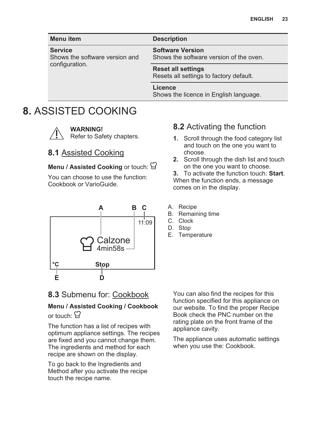<span id="page-22-0"></span>

| <b>Menu</b> item                                                   | <b>Description</b>                                                   |
|--------------------------------------------------------------------|----------------------------------------------------------------------|
| <b>Service</b><br>Shows the software version and<br>configuration. | <b>Software Version</b><br>Shows the software version of the oven.   |
|                                                                    | <b>Reset all settings</b><br>Resets all settings to factory default. |
|                                                                    | Licence<br>Shows the licence in English language.                    |

## **8.** ASSISTED COOKING



**WARNING!**

Refer to Safety chapters.

### **8.1** Assisted Cooking

#### **Menu / Assisted Cooking** or touch:  $\exists$

You can choose to use the function: Cookbook or VarioGuide.



### **8.3** Submenu for: Cookbook

#### **Menu / Assisted Cooking / Cookbook** or touch:  $\Omega$

The function has a list of recipes with optimum appliance settings. The recipes are fixed and you cannot change them. The ingredients and method for each recipe are shown on the display.

To go back to the Ingredients and Method after you activate the recipe touch the recipe name.

### **8.2** Activating the function

- **1.** Scroll through the food category list and touch on the one you want to choose.
- **2.** Scroll through the dish list and touch on the one you want to choose.

**3.** To activate the function touch: **Start**. When the function ends, a message comes on in the display.

- A. Recipe
- B. Remaining time
- C. Clock
- D. Stop
- E. Temperature

You can also find the recipes for this function specified for this appliance on our website. To find the proper Recipe Book check the PNC number on the rating plate on the front frame of the appliance cavity.

The appliance uses automatic settings when you use the: Cookbook.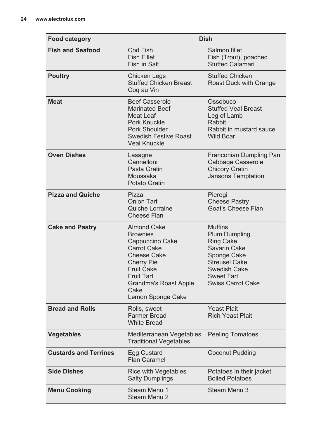| <b>Food category</b>         | <b>Dish</b>                                                                                                                                                                                                               |                                                                                                                                                                                    |  |
|------------------------------|---------------------------------------------------------------------------------------------------------------------------------------------------------------------------------------------------------------------------|------------------------------------------------------------------------------------------------------------------------------------------------------------------------------------|--|
| <b>Fish and Seafood</b>      | Cod Fish<br><b>Fish Fillet</b><br>Fish in Salt                                                                                                                                                                            | Salmon fillet<br>Fish (Trout), poached<br><b>Stuffed Calamari</b>                                                                                                                  |  |
| <b>Poultry</b>               | Chicken Legs<br><b>Stuffed Chicken Breast</b><br>Cog au Vin                                                                                                                                                               | <b>Stuffed Chicken</b><br>Roast Duck with Orange                                                                                                                                   |  |
| <b>Meat</b>                  | <b>Beef Casserole</b><br><b>Marinated Beef</b><br>Meat Loaf<br>Pork Knuckle<br>Pork Shoulder<br>Swedish Festive Roast<br>Veal Knuckle                                                                                     | Ossobuco<br><b>Stuffed Veal Breast</b><br>Leg of Lamb<br>Rabbit<br>Rabbit in mustard sauce<br><b>Wild Boar</b>                                                                     |  |
| <b>Oven Dishes</b>           | Lasagne<br>Cannelloni<br>Pasta Gratin<br>Moussaka<br><b>Potato Gratin</b>                                                                                                                                                 | Franconian Dumpling Pan<br>Cabbage Casserole<br><b>Chicory Gratin</b><br>Jansons Temptation                                                                                        |  |
| <b>Pizza and Quiche</b>      | Pizza<br><b>Onion Tart</b><br>Quiche Lorraine<br>Cheese Flan                                                                                                                                                              | Pierogi<br><b>Cheese Pastry</b><br>Goat's Cheese Flan                                                                                                                              |  |
| <b>Cake and Pastry</b>       | <b>Almond Cake</b><br><b>Brownies</b><br>Cappuccino Cake<br><b>Carrot Cake</b><br><b>Cheese Cake</b><br><b>Cherry Pie</b><br><b>Fruit Cake</b><br><b>Fruit Tart</b><br>Grandma's Roast Apple<br>Cake<br>Lemon Sponge Cake | <b>Muffins</b><br><b>Plum Dumpling</b><br><b>Ring Cake</b><br>Savarin Cake<br>Sponge Cake<br><b>Streusel Cake</b><br>Swedish Cake<br><b>Sweet Tart</b><br><b>Swiss Carrot Cake</b> |  |
| <b>Bread and Rolls</b>       | Rolls, sweet<br><b>Farmer Bread</b><br><b>White Bread</b>                                                                                                                                                                 | <b>Yeast Plait</b><br><b>Rich Yeast Plait</b>                                                                                                                                      |  |
| <b>Vegetables</b>            | Mediterranean Vegetables<br><b>Traditional Vegetables</b>                                                                                                                                                                 | <b>Peeling Tomatoes</b>                                                                                                                                                            |  |
| <b>Custards and Terrines</b> | Egg Custard<br><b>Flan Caramel</b>                                                                                                                                                                                        | Coconut Pudding                                                                                                                                                                    |  |
| <b>Side Dishes</b>           | <b>Rice with Vegetables</b><br><b>Salty Dumplings</b>                                                                                                                                                                     | Potatoes in their jacket<br><b>Boiled Potatoes</b>                                                                                                                                 |  |
| <b>Menu Cooking</b>          | Steam Menu 1<br>Steam Menu 2                                                                                                                                                                                              | Steam Menu 3                                                                                                                                                                       |  |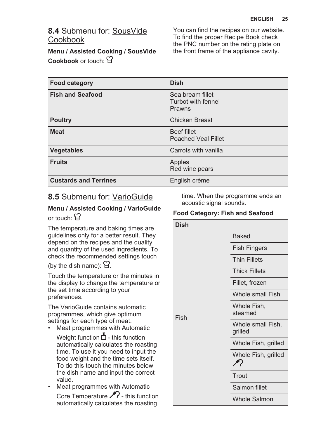### **8.4** Submenu for: SousVide Cookbook

**Menu / Assisted Cooking / SousVide Cookbook** or touch:

You can find the recipes on our website. To find the proper Recipe Book check the PNC number on the rating plate on the front frame of the appliance cavity.

| <b>Food category</b>         | <b>Dish</b>                                      |
|------------------------------|--------------------------------------------------|
| <b>Fish and Seafood</b>      | Sea bream fillet<br>Turbot with fennel<br>Prawns |
| <b>Poultry</b>               | <b>Chicken Breast</b>                            |
| <b>Meat</b>                  | <b>Beef fillet</b><br><b>Poached Veal Fillet</b> |
| <b>Vegetables</b>            | Carrots with vanilla                             |
| <b>Fruits</b>                | Apples<br>Red wine pears                         |
| <b>Custards and Terrines</b> | English crème                                    |

### **8.5** Submenu for: VarioGuide

#### **Menu / Assisted Cooking / VarioGuide** or touch:  $\Omega$

The temperature and baking times are guidelines only for a better result. They depend on the recipes and the quality and quantity of the used ingredients. To check the recommended settings touch

(by the dish name):  $\Omega$ .

Touch the temperature or the minutes in the display to change the temperature or the set time according to your preferences.

The VarioGuide contains automatic programmes, which give optimum settings for each type of meat.

• Meat programmes with Automatic

Weight function  $\overline{\triangle}$  - this function automatically calculates the roasting time. To use it you need to input the food weight and the time sets itself. To do this touch the minutes below the dish name and input the correct value.

• Meat programmes with Automatic Core Temperature  $\mathscr{P}$  - this function automatically calculates the roasting

time. When the programme ends an acoustic signal sounds.

#### **Food Category: Fish and Seafood**

| <b>Dish</b> |                                      |  |
|-------------|--------------------------------------|--|
|             | <b>Baked</b>                         |  |
|             | <b>Fish Fingers</b>                  |  |
|             | <b>Thin Fillets</b>                  |  |
|             | <b>Thick Fillets</b>                 |  |
|             | Fillet, frozen                       |  |
|             | <b>Whole small Fish</b>              |  |
| Fish        | Whole Fish,<br>steamed               |  |
|             | Whole small Fish,<br>grilled         |  |
|             | Whole Fish, grilled                  |  |
|             | Whole Fish, grilled<br>$\mathscr{F}$ |  |
|             | Trout                                |  |
|             | Salmon fillet                        |  |
|             | <b>Whole Salmon</b>                  |  |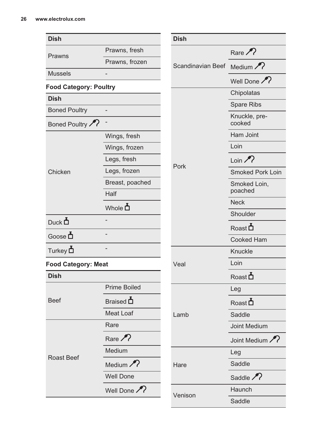| <b>Dish</b>                   |                      | <b>Dish</b>              |                         |
|-------------------------------|----------------------|--------------------------|-------------------------|
|                               | Prawns, fresh        |                          | Rare $\mathcal{P}$      |
| Prawns                        | Prawns, frozen       | Scandinavian Beef Medium |                         |
| Mussels                       |                      |                          | Well Done               |
| <b>Food Category: Poultry</b> |                      |                          |                         |
| <b>Dish</b>                   |                      |                          | Chipolatas              |
| <b>Boned Poultry</b>          |                      |                          | Spare Ribs              |
| Boned Poultry                 |                      |                          | Knuckle, pre-<br>cooked |
|                               | Wings, fresh         |                          | Ham Joint               |
|                               | Wings, frozen        |                          | Loin                    |
|                               | Legs, fresh          | Pork                     | Loin $\mathcal{P}$      |
| Chicken                       | Legs, frozen         |                          | <b>Smoked Pork Loin</b> |
|                               | Breast, poached      |                          | Smoked Loin,<br>poached |
|                               | Half                 |                          | <b>Neck</b>             |
|                               | Whole <b>n</b>       |                          | Shoulder                |
| Duck $\Delta$                 |                      |                          | Roast $\Delta$          |
| Goose $\Delta$                |                      |                          | Cooked Ham              |
| Turkey $\mathbf{\Delta}$      |                      |                          | Knuckle                 |
| <b>Food Category: Meat</b>    |                      | Veal                     | Loin                    |
| <b>Dish</b>                   |                      |                          | Roast $\Delta$          |
|                               | Prime Boiled         |                          | Leg                     |
| <b>Beef</b><br>Roast Beef     | Braised D            |                          | $\text{Root}$           |
|                               | <b>Meat Loaf</b>     | Lamb                     | Saddle                  |
|                               | Rare                 |                          | <b>Joint Medium</b>     |
|                               | Rare $\mathcal{P}$   |                          | Joint Medium            |
|                               | Medium               |                          | Leg                     |
|                               | Medium $\mathcal{P}$ | Hare                     | Saddle                  |
|                               | <b>Well Done</b>     |                          | Saddle $\mathcal{P}$    |
|                               | Well Done            | Venison                  | Haunch                  |
|                               |                      |                          | Saddle                  |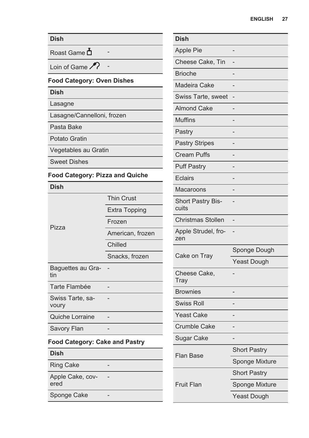| <b>Dish</b>                            |                      | D                   |
|----------------------------------------|----------------------|---------------------|
| Roast Game                             |                      |                     |
| Loin of Game                           |                      |                     |
| <b>Food Category: Oven Dishes</b>      |                      | B<br>N <sub>V</sub> |
| <b>Dish</b>                            |                      | S                   |
| Lasagne                                |                      | A                   |
| Lasagne/Cannelloni, frozen             |                      | M                   |
| Pasta Bake                             |                      | P                   |
| <b>Potato Gratin</b>                   |                      | P                   |
| Vegetables au Gratin                   |                      | C                   |
| <b>Sweet Dishes</b>                    |                      | P                   |
| <b>Food Category: Pizza and Quiche</b> |                      | Е                   |
| <b>Dish</b>                            |                      | N <sub>V</sub>      |
|                                        | <b>Thin Crust</b>    | S                   |
|                                        | <b>Extra Topping</b> | C <sub>1</sub>      |
| Pizza                                  | Frozen               | C                   |
|                                        | American, frozen     | A<br>Z(             |
|                                        | Chilled              |                     |
|                                        | Snacks, frozen       | C                   |
| Baguettes au Gra-<br>tin               |                      | C<br>T              |
| <b>Tarte Flambée</b>                   |                      | B                   |
| Swiss Tarte, sa-<br>voury              |                      | S                   |
| Quiche Lorraine                        |                      | Ý                   |
| Savory Flan                            |                      | C                   |
| <b>Food Category: Cake and Pastry</b>  |                      | S                   |
| <b>Dish</b>                            |                      | F                   |
| <b>Ring Cake</b>                       |                      |                     |
| Apple Cake, cov-<br>ered               | L                    | F                   |
| Sponge Cake                            |                      |                     |

| <b>Dish</b>                |                     |
|----------------------------|---------------------|
| <b>Apple Pie</b>           |                     |
| Cheese Cake, Tin           |                     |
| <b>Brioche</b>             |                     |
| Madeira Cake               |                     |
| Swiss Tarte, sweet         |                     |
| <b>Almond Cake</b>         |                     |
| <b>Muffins</b>             |                     |
| Pastry                     |                     |
| <b>Pastry Stripes</b>      |                     |
| <b>Cream Puffs</b>         |                     |
| <b>Puff Pastry</b>         |                     |
| <b>Eclairs</b>             |                     |
| Macaroons                  |                     |
| Short Pastry Bis-<br>cuits |                     |
| <b>Christmas Stollen</b>   |                     |
| Apple Strudel, fro-<br>zen |                     |
| Cake on Tray               | Sponge Dough        |
|                            | <b>Yeast Dough</b>  |
| Cheese Cake,<br>Tray       |                     |
| <b>Brownies</b>            |                     |
| <b>Swiss Roll</b>          |                     |
| <b>Yeast Cake</b>          |                     |
| <b>Crumble Cake</b>        |                     |
| <b>Sugar Cake</b>          |                     |
| <b>Flan Base</b>           | <b>Short Pastry</b> |
|                            | Sponge Mixture      |
|                            | <b>Short Pastry</b> |
| <b>Fruit Flan</b>          | Sponge Mixture      |
|                            | <b>Yeast Dough</b>  |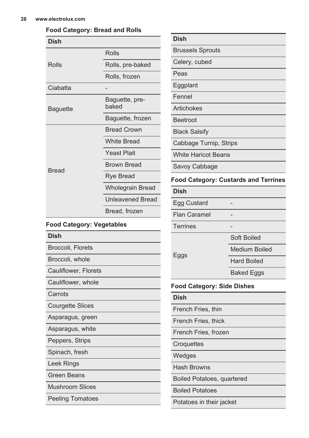#### **Food Category: Bread and Rolls**

| Dish         |                         |  |
|--------------|-------------------------|--|
|              | Rolls                   |  |
| Rolls        | Rolls, pre-baked        |  |
|              | Rolls, frozen           |  |
| Ciabatta     |                         |  |
| Baguette     | Baguette, pre-<br>baked |  |
|              | Baguette, frozen        |  |
|              | <b>Bread Crown</b>      |  |
|              | <b>White Bread</b>      |  |
|              | <b>Yeast Plait</b>      |  |
| <b>Bread</b> | <b>Brown Bread</b>      |  |
|              | Rye Bread               |  |
|              | <b>Wholegrain Bread</b> |  |
|              | <b>Unleavened Bread</b> |  |
|              | Bread, frozen           |  |
|              |                         |  |

#### **Food Category: Vegetables**

|--|

Broccoli, Florets

Broccoli, whole

Cauliflower, Florets

Cauliflower, whole

**Carrots** 

Courgette Slices

Asparagus, green

Asparagus, white

Peppers, Strips

Spinach, fresh

Leek Rings

Green Beans

Mushroom Slices

Peeling Tomatoes

| Dish                    |
|-------------------------|
| <b>Brussels Sprouts</b> |

Celery, cubed

Peas

Eggplant

Fennel

Artichokes

Beetroot

Black Salsify

Cabbage Turnip, Strips

White Haricot Beans

Savoy Cabbage

#### **Food Category: Custards and Terrines**

**Dish**

Egg Custard

Flan Caramel

**Terrines** 

Soft Boiled

Medium Boiled

Eggs

Hard Boiled Baked Eggs

#### **Food Category: Side Dishes**

**Dish**

French Fries, thin

French Fries, thick

French Fries, frozen

**Croquettes** 

**Wedges** 

Hash Browns

Boiled Potatoes, quartered

Boiled Potatoes

Potatoes in their jacket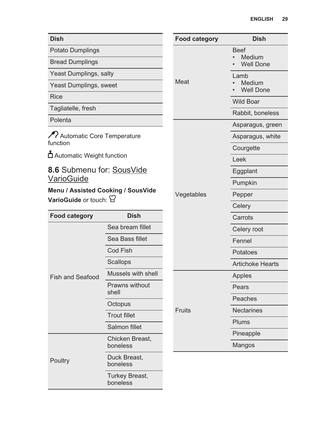| <b>Dish</b>                                                  |                                | <b>Food category</b> | <b>Dish</b>                             |
|--------------------------------------------------------------|--------------------------------|----------------------|-----------------------------------------|
| Potato Dumplings                                             |                                |                      | <b>Beef</b>                             |
| <b>Bread Dumplings</b>                                       |                                |                      | Medium<br>$\bullet$<br><b>Well Done</b> |
| Yeast Dumplings, salty                                       |                                |                      | Lamb                                    |
| Yeast Dumplings, sweet                                       |                                | Meat                 | Medium<br><b>Well Done</b>              |
| <b>Rice</b>                                                  |                                |                      | <b>Wild Boar</b>                        |
| Tagliatelle, fresh                                           |                                |                      | Rabbit, boneless                        |
| Polenta                                                      |                                |                      | Asparagus, green                        |
| Relationatic Core Temperature<br>function                    |                                |                      | Asparagus, white                        |
|                                                              |                                |                      | Courgette                               |
| △ Automatic Weight function                                  |                                |                      | Leek                                    |
| 8.6 Submenu for: SousVide                                    |                                |                      | Eggplant                                |
| VarioGuide                                                   |                                |                      | Pumpkin                                 |
| Menu / Assisted Cooking / SousVide<br>VarioGuide or touch: 日 |                                | Vegetables           | Pepper                                  |
|                                                              |                                |                      | Celery                                  |
| <b>Food category</b>                                         | <b>Dish</b>                    |                      | Carrots                                 |
|                                                              | Sea bream fillet               |                      | Celery root                             |
|                                                              | Sea Bass fillet                |                      | Fennel                                  |
|                                                              | Cod Fish                       |                      | Potatoes                                |
|                                                              | Scallops                       |                      | <b>Artichoke Hearts</b>                 |
| <b>Fish and Seafood</b>                                      | Mussels with shell             |                      | Apples                                  |
|                                                              | <b>Prawns without</b><br>shell |                      | Pears                                   |
|                                                              | Octopus                        |                      | Peaches                                 |
|                                                              | Trout fillet                   | <b>Fruits</b>        | <b>Nectarines</b>                       |
|                                                              | Salmon fillet                  |                      | Plums                                   |
| Poultry                                                      | Chicken Breast.                |                      | Pineapple                               |
|                                                              | boneless                       |                      | Mangos                                  |
|                                                              | Duck Breast,<br>boneless       |                      |                                         |
|                                                              | Turkey Breast,                 |                      |                                         |

boneless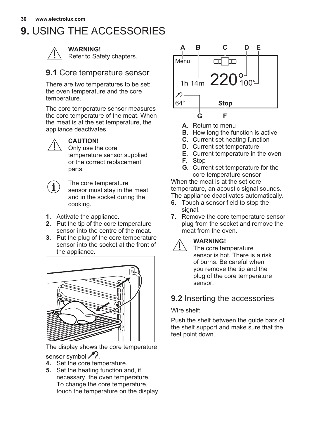## <span id="page-29-0"></span>**9.** USING THE ACCESSORIES



**WARNING!**

Refer to Safety chapters.

### **9.1** Core temperature sensor

There are two temperatures to be set: the oven temperature and the core temperature.

The core temperature sensor measures the core temperature of the meat. When the meat is at the set temperature, the appliance deactivates.



#### **CAUTION!**

Only use the core temperature sensor supplied or the correct replacement parts.

 $\mathbf i$ 

The core temperature sensor must stay in the meat and in the socket during the cooking.

- **1.** Activate the appliance.
- **2.** Put the tip of the core temperature sensor into the centre of the meat.
- **3.** Put the plug of the core temperature sensor into the socket at the front of the appliance.



The display shows the core temperature sensor symbol  $\mathcal{P}$ .

- **4.** Set the core temperature.
- **5.** Set the heating function and, if necessary, the oven temperature. To change the core temperature, touch the temperature on the display.



- **A.** Return to menu
- **B.** How long the function is active
- **C.** Current set heating function
- **D.** Current set temperature
- **E.** Current temperature in the oven
- **F.** Stop
- **G.** Current set temperature for the core temperature sensor

When the meat is at the set core temperature, an acoustic signal sounds. The appliance deactivates automatically.

- **6.** Touch a sensor field to stop the signal.
- **7.** Remove the core temperature sensor plug from the socket and remove the meat from the oven.

#### **WARNING!**

The core temperature sensor is hot. There is a risk of burns. Be careful when you remove the tip and the plug of the core temperature sensor.

### **9.2** Inserting the accessories

Wire shelf:

Push the shelf between the guide bars of the shelf support and make sure that the feet point down.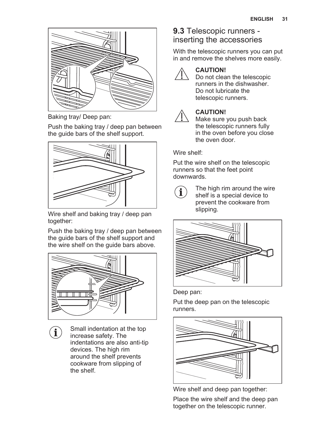

Baking tray/ Deep pan:

Push the baking tray / deep pan between the guide bars of the shelf support.



Wire shelf and baking tray / deep pan together:

Push the baking tray / deep pan between the guide bars of the shelf support and the wire shelf on the guide bars above.



Small indentation at the top  $\mathbf{i}$ increase safety. The indentations are also anti-tip devices. The high rim around the shelf prevents cookware from slipping of the shelf.

### **9.3** Telescopic runners inserting the accessories

With the telescopic runners you can put in and remove the shelves more easily.



#### **CAUTION!**

Do not clean the telescopic runners in the dishwasher. Do not lubricate the telescopic runners.



### **CAUTION!**

Make sure you push back the telescopic runners fully in the oven before you close the oven door.

Wire shelf:

Put the wire shelf on the telescopic runners so that the feet point downwards.



The high rim around the wire shelf is a special device to prevent the cookware from slipping.



Deep pan:

Put the deep pan on the telescopic runners.



Wire shelf and deep pan together:

Place the wire shelf and the deep pan together on the telescopic runner.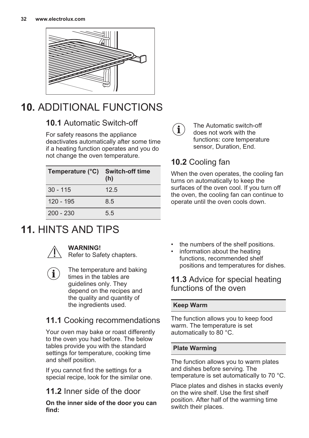<span id="page-31-0"></span>

## **10.** ADDITIONAL FUNCTIONS

### **10.1** Automatic Switch-off

For safety reasons the appliance deactivates automatically after some time if a heating function operates and you do not change the oven temperature.

| Temperature (°C) | <b>Switch-off time</b><br>(h) |
|------------------|-------------------------------|
| $30 - 115$       | 12.5                          |
| 120 - 195        | 8.5                           |
| $200 - 230$      | 5.5                           |

## **11.** HINTS AND TIPS



#### **WARNING!**

Refer to Safety chapters.

The temperature and baking times in the tables are guidelines only. They depend on the recipes and the quality and quantity of the ingredients used.

### **11.1** Cooking recommendations

Your oven may bake or roast differently to the oven you had before. The below tables provide you with the standard settings for temperature, cooking time and shelf position.

If you cannot find the settings for a special recipe, look for the similar one.

### **11.2** Inner side of the door

**On the inner side of the door you can find:**



The Automatic switch-off does not work with the functions: core temperature sensor, Duration, End.

## **10.2** Cooling fan

When the oven operates, the cooling fan turns on automatically to keep the surfaces of the oven cool. If you turn off the oven, the cooling fan can continue to operate until the oven cools down.

- the numbers of the shelf positions.
- information about the heating functions, recommended shelf positions and temperatures for dishes.

### **11.3** Advice for special heating functions of the oven

#### **Keep Warm**

The function allows you to keep food warm. The temperature is set automatically to 80 °C.

#### **Plate Warming**

The function allows you to warm plates and dishes before serving. The temperature is set automatically to 70 °C.

Place plates and dishes in stacks evenly on the wire shelf. Use the first shelf position. After half of the warming time switch their places.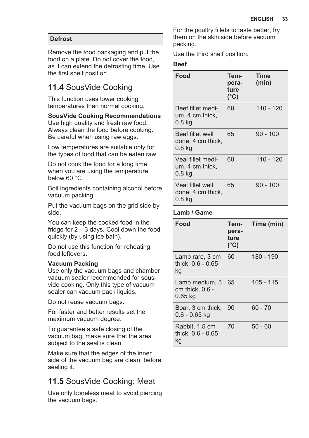#### **Defrost**

Remove the food packaging and put the food on a plate. Do not cover the food, as it can extend the defrosting time. Use the first shelf position.

### **11.4** SousVide Cooking

This function uses lower cooking temperatures than normal cooking.

#### **SousVide Cooking Recommendations**

Use high quality and fresh raw food. Always clean the food before cooking. Be careful when using raw eggs.

Low temperatures are suitable only for the types of food that can be eaten raw.

Do not cook the food for a long time when you are using the temperature below 60 °C.

Boil ingredients containing alcohol before vacuum packing.

Put the vacuum bags on the grid side by side.

You can keep the cooked food in the fridge for 2 – 3 days. Cool down the food quickly (by using ice bath).

Do not use this function for reheating food leftovers.

#### **Vacuum Packing**

Use only the vacuum bags and chamber vacuum sealer recommended for sousvide cooking. Only this type of vacuum sealer can vacuum pack liquids.

Do not reuse vacuum bags.

For faster and better results set the maximum vacuum degree.

To guarantee a safe closing of the vacuum bag, make sure that the area subject to the seal is clean.

Make sure that the edges of the inner side of the vacuum bag are clean, before sealing it.

### **11.5** SousVide Cooking: Meat

Use only boneless meat to avoid piercing the vacuum bags.

For the poultry fillets to taste better, fry them on the skin side before vacuum packing.

Use the third shelf position.

#### **Beef**

| Food                                                       | Tem-<br>pera-<br>ture<br>$(^{\circ}C)$ | Time<br>(min) |
|------------------------------------------------------------|----------------------------------------|---------------|
| Beef fillet medi-<br>um, 4 cm thick,<br>0.8 kg             | 60                                     | 110 - 120     |
| Beef fillet well<br>done, 4 cm thick,<br>0.8 kg            | 65                                     | $90 - 100$    |
| Veal fillet medi-<br>um, 4 cm thick,<br>0.8 kg             | 60                                     | $110 - 120$   |
| Veal fillet well<br>done, 4 cm thick,<br>0.8 <sub>kq</sub> | 65                                     | 90 - 100      |

#### **Lamb / Game**

| Food                                           | Tem-<br>pera-<br>ture<br>$(^{\circ}C)$ | Time (min) |
|------------------------------------------------|----------------------------------------|------------|
| Lamb rare, 3 cm<br>thick. 0.6 - 0.65<br>kg     | 60                                     | 180 - 190  |
| Lamb medium, 3<br>cm thick, 0.6 -<br>$0.65$ kg | 65                                     | 105 - 115  |
| Boar, 3 cm thick,<br>$0.6 - 0.65$ kg           | 90                                     | $60 - 70$  |
| Rabbit, 1.5 cm<br>thick, 0.6 - 0.65<br>kg      | 70                                     | $50 - 60$  |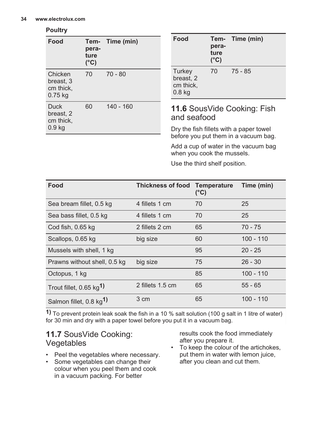#### **Poultry**

| Food                                              | pera-<br>ture<br>(°C) | Tem- Time (min) | Food                                                  | Tem-<br>pera-<br>ture<br>$(^{\circ}C)$ | Time (min)                                                              |
|---------------------------------------------------|-----------------------|-----------------|-------------------------------------------------------|----------------------------------------|-------------------------------------------------------------------------|
| Chicken<br>breast, 3<br>cm thick,<br>$0.75$ kg    | 70                    | $70 - 80$       | Turkey<br>breast, 2<br>cm thick,<br>0.8 <sub>kq</sub> | 70                                     | $75 - 85$                                                               |
| <b>Duck</b><br>breast, 2<br>cm thick,<br>$0.9$ kg | 60                    | $140 - 160$     | and seafood                                           |                                        | 11.6 Sous Vide Cooking: Fish<br>Dry the fish fillets with a paper towel |

Dry the fish fillets with a paper towel before you put them in a vacuum bag.

Add a cup of water in the vacuum bag when you cook the mussels.

Use the third shelf position.

| Food                                   | <b>Thickness of food</b> | <b>Temperature</b><br>$(^{\circ}C)$ | Time (min)  |
|----------------------------------------|--------------------------|-------------------------------------|-------------|
| Sea bream fillet, 0.5 kg               | 4 fillets 1 cm           | 70                                  | 25          |
| Sea bass fillet, 0.5 kg                | 4 fillets 1 cm           | 70                                  | 25          |
| Cod fish, 0.65 kg                      | 2 fillets 2 cm           | 65                                  | $70 - 75$   |
| Scallops, 0.65 kg                      | big size                 | 60                                  | $100 - 110$ |
| Mussels with shell, 1 kg               |                          | 95                                  | $20 - 25$   |
| Prawns without shell, 0.5 kg           | big size                 | 75                                  | $26 - 30$   |
| Octopus, 1 kg                          |                          | 85                                  | $100 - 110$ |
| Trout fillet, $0.65$ kg <sup>1</sup> ) | 2 fillets 1.5 cm         | 65                                  | $55 - 65$   |
| Salmon fillet, 0.8 kg <sup>1)</sup>    | 3 cm                     | 65                                  | $100 - 110$ |

**1)** To prevent protein leak soak the fish in a 10 % salt solution (100 g salt in 1 litre of water) for 30 min and dry with a paper towel before you put it in a vacuum bag.

### **11.7** SousVide Cooking: Vegetables

- Peel the vegetables where necessary.
- Some vegetables can change their colour when you peel them and cook in a vacuum packing. For better

results cook the food immediately after you prepare it.

• To keep the colour of the artichokes, put them in water with lemon juice, after you clean and cut them.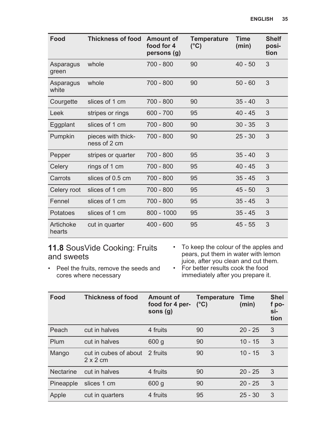| Food                | <b>Thickness of food</b>           | Amount of<br>food for 4<br>persons (g) | <b>Temperature</b><br>$(^{\circ}C)$ | <b>Time</b><br>(min) | <b>Shelf</b><br>posi-<br>tion |
|---------------------|------------------------------------|----------------------------------------|-------------------------------------|----------------------|-------------------------------|
| Asparagus<br>green  | whole                              | $700 - 800$                            | 90                                  | $40 - 50$            | 3                             |
| Asparagus<br>white  | whole                              | $700 - 800$                            | 90                                  | $50 - 60$            | 3                             |
| Courgette           | slices of 1 cm                     | 700 - 800                              | 90                                  | $35 - 40$            | 3                             |
| Leek                | stripes or rings                   | $600 - 700$                            | 95                                  | $40 - 45$            | 3                             |
| Eggplant            | slices of 1 cm                     | $700 - 800$                            | 90                                  | $30 - 35$            | 3                             |
| Pumpkin             | pieces with thick-<br>ness of 2 cm | $700 - 800$                            | 90                                  | $25 - 30$            | 3                             |
| Pepper              | stripes or quarter                 | $700 - 800$                            | 95                                  | $35 - 40$            | 3                             |
| Celery              | rings of 1 cm                      | 700 - 800                              | 95                                  | $40 - 45$            | 3                             |
| Carrots             | slices of 0.5 cm                   | $700 - 800$                            | 95                                  | $35 - 45$            | 3                             |
| Celery root         | slices of 1 cm                     | 700 - 800                              | 95                                  | $45 - 50$            | 3                             |
| Fennel              | slices of 1 cm                     | $700 - 800$                            | 95                                  | $35 - 45$            | 3                             |
| Potatoes            | slices of 1 cm                     | $800 - 1000$                           | 95                                  | $35 - 45$            | 3                             |
| Artichoke<br>hearts | cut in quarter                     | $400 - 600$                            | 95                                  | $45 - 55$            | 3                             |

### **11.8** SousVide Cooking: Fruits and sweets

- To keep the colour of the apples and pears, put them in water with lemon juice, after you clean and cut them.
- Peel the fruits, remove the seeds and cores where necessary
- For better results cook the food immediately after you prepare it.

| Food      | <b>Thickness of food</b>                 | Amount of<br>food for 4 per-<br>sons $(q)$ | <b>Temperature</b><br>$(^{\circ}C)$ | Time<br>(min) | <b>Shel</b><br>f po-<br>si-<br>tion |
|-----------|------------------------------------------|--------------------------------------------|-------------------------------------|---------------|-------------------------------------|
| Peach     | cut in halves                            | 4 fruits                                   | 90                                  | $20 - 25$     | 3                                   |
| Plum      | cut in halves                            | 600q                                       | 90                                  | $10 - 15$     | 3                                   |
| Mango     | cut in cubes of about<br>$2 \times 2$ cm | 2 fruits                                   | 90                                  | $10 - 15$     | 3                                   |
| Nectarine | cut in halves                            | 4 fruits                                   | 90                                  | $20 - 25$     | 3                                   |
| Pineapple | slices 1 cm                              | 600 <sub>g</sub>                           | 90                                  | $20 - 25$     | 3                                   |
| Apple     | cut in quarters                          | 4 fruits                                   | 95                                  | $25 - 30$     | 3                                   |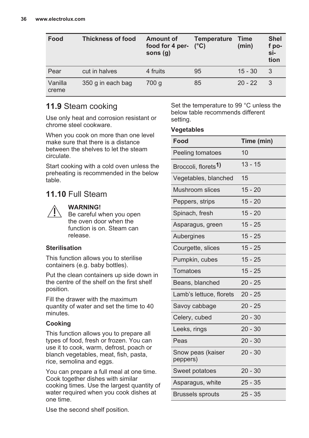| Food             | <b>Thickness of food</b> | Amount of<br>food for 4 per-<br>sons $(q)$ | <b>Temperature</b><br>$(^{\circ}C)$ | Time<br>(min) | <b>Shel</b><br>f po-<br>si-<br>tion |
|------------------|--------------------------|--------------------------------------------|-------------------------------------|---------------|-------------------------------------|
| Pear             | cut in halves            | 4 fruits                                   | 95                                  | $15 - 30$     | 3                                   |
| Vanilla<br>creme | 350 g in each bag        | 700 g                                      | 85                                  | $20 - 22$     | -3                                  |

### **11.9** Steam cooking

Use only heat and corrosion resistant or chrome steel cookware.

When you cook on more than one level make sure that there is a distance between the shelves to let the steam circulate.

Start cooking with a cold oven unless the preheating is recommended in the below table.

### **11.10** Full Steam



#### **WARNING!**

Be careful when you open the oven door when the function is on. Steam can release.

#### **Sterilisation**

This function allows you to sterilise containers (e.g. baby bottles).

Put the clean containers up side down in the centre of the shelf on the first shelf position.

Fill the drawer with the maximum quantity of water and set the time to 40 minutes.

#### **Cooking**

This function allows you to prepare all types of food, fresh or frozen. You can use it to cook, warm, defrost, poach or blanch vegetables, meat, fish, pasta, rice, semolina and eggs.

You can prepare a full meal at one time. Cook together dishes with similar cooking times. Use the largest quantity of water required when you cook dishes at one time.

Use the second shelf position.

Set the temperature to 99 °C unless the below table recommends different setting.

#### **Vegetables**

| Food                             | Time (min) |
|----------------------------------|------------|
| Peeling tomatoes                 | 10         |
| Broccoli, florets <sup>1</sup> ) | $13 - 15$  |
| Vegetables, blanched             | 15         |
| Mushroom slices                  | $15 - 20$  |
| Peppers, strips                  | $15 - 20$  |
| Spinach, fresh                   | $15 - 20$  |
| Asparagus, green                 | $15 - 25$  |
| Aubergines                       | $15 - 25$  |
| Courgette, slices                | $15 - 25$  |
| Pumpkin, cubes                   | $15 - 25$  |
| Tomatoes                         | $15 - 25$  |
| Beans, blanched                  | $20 - 25$  |
| Lamb's lettuce, florets          | $20 - 25$  |
| Savoy cabbage                    | $20 - 25$  |
| Celery, cubed                    | $20 - 30$  |
| Leeks, rings                     | $20 - 30$  |
| Peas                             | $20 - 30$  |
| Snow peas (kaiser<br>peppers)    | $20 - 30$  |
| Sweet potatoes                   | $20 - 30$  |
| Asparagus, white                 | $25 - 35$  |
| <b>Brussels sprouts</b>          | $25 - 35$  |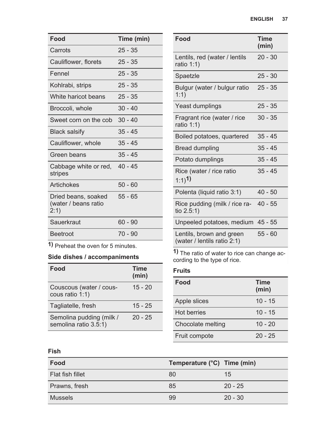| Food                                                | Time (min) |
|-----------------------------------------------------|------------|
| Carrots                                             | $25 - 35$  |
| Cauliflower, florets                                | $25 - 35$  |
| Fennel                                              | $25 - 35$  |
| Kohlrabi, strips                                    | $25 - 35$  |
| White haricot beans                                 | $25 - 35$  |
| Broccoli, whole                                     | $30 - 40$  |
| Sweet corn on the cob                               | $30 - 40$  |
| <b>Black salsify</b>                                | 35 - 45    |
| Cauliflower, whole                                  | $35 - 45$  |
| Green beans                                         | $35 - 45$  |
| Cabbage white or red, 40 - 45<br>stripes            |            |
| Artichokes                                          | $50 - 60$  |
| Dried beans, soaked<br>(water / beans ratio<br>2:1) | $55 - 65$  |
| Sauerkraut                                          | 60 - 90    |
| <b>Beetroot</b>                                     | 70 - 90    |

**1)** Preheat the oven for 5 minutes.

### **Side dishes / accompaniments**

| Food                                              | <b>Time</b><br>(min) |
|---------------------------------------------------|----------------------|
| Couscous (water / cous-<br>cous ratio 1:1)        | $15 - 20$            |
| Tagliatelle, fresh                                | $15 - 25$            |
| Semolina pudding (milk /<br>semolina ratio 3.5:1) | $20 - 25$            |

| Food                                                    | <b>Time</b><br>(min) |
|---------------------------------------------------------|----------------------|
| Lentils, red (water / lentils<br>ratio $1:1$ )          | $20 - 30$            |
| Spaetzle                                                | $25 - 30$            |
| Bulgur (water / bulgur ratio<br>1:1)                    | $25 - 35$            |
| Yeast dumplings                                         | $25 - 35$            |
| Fragrant rice (water / rice<br>ratio $1:1$ )            | $30 - 35$            |
| Boiled potatoes, quartered                              | $35 - 45$            |
| Bread dumpling                                          | $35 - 45$            |
| Potato dumplings                                        | $35 - 45$            |
| Rice (water / rice ratio<br>$1:1)$ <sup>1</sup>         | $35 - 45$            |
| Polenta (liquid ratio 3:1)                              | $40 - 50$            |
| Rice pudding (milk / rice ra-<br>tio $2.5:1$ )          | $40 - 55$            |
| Unpeeled potatoes, medium 45 - 55                       |                      |
| Lentils, brown and green<br>(water / lentils ratio 2:1) | $55 - 60$            |

**1)** The ratio of water to rice can change ac‐ cording to the type of rice.

#### **Fruits**

| Food              | <b>Time</b><br>(min) |
|-------------------|----------------------|
| Apple slices      | $10 - 15$            |
| Hot berries       | $10 - 15$            |
| Chocolate melting | $10 - 20$            |
| Fruit compote     | $20 - 25$            |

#### **Fish**

| Food             | Temperature (°C) Time (min) |           |
|------------------|-----------------------------|-----------|
| Flat fish fillet | 80                          | 15        |
| Prawns, fresh    | 85                          | $20 - 25$ |
| <b>Mussels</b>   | 99                          | $20 - 30$ |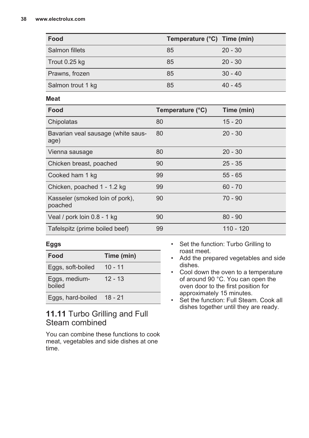| Food              | Temperature (°C) Time (min) |           |
|-------------------|-----------------------------|-----------|
| Salmon fillets    | 85                          | $20 - 30$ |
| Trout 0.25 kg     | 85                          | $20 - 30$ |
| Prawns, frozen    | 85                          | $30 - 40$ |
| Salmon trout 1 kg | 85                          | $40 - 45$ |

#### **Meat**

| Food                                       | Temperature (°C) | Time (min) |
|--------------------------------------------|------------------|------------|
| Chipolatas                                 | 80               | $15 - 20$  |
| Bavarian veal sausage (white saus-<br>age) | 80               | $20 - 30$  |
| Vienna sausage                             | 80               | $20 - 30$  |
| Chicken breast, poached                    | 90               | $25 - 35$  |
| Cooked ham 1 kg                            | 99               | $55 - 65$  |
| Chicken, poached 1 - 1.2 kg                | 99               | $60 - 70$  |
| Kasseler (smoked loin of pork),<br>poached | 90               | $70 - 90$  |
| Veal / pork loin 0.8 - 1 kg                | 90               | $80 - 90$  |
| Tafelspitz (prime boiled beef)             | 99               | 110 - 120  |

#### **Eggs**

| Food                      | Time (min) |
|---------------------------|------------|
| Eggs, soft-boiled         | $10 - 11$  |
| Eggs, medium-<br>boiled   | $12 - 13$  |
| Eggs, hard-boiled 18 - 21 |            |

### **11.11** Turbo Grilling and Full Steam combined

You can combine these functions to cook meat, vegetables and side dishes at one time.

- Set the function: Turbo Grilling to roast meet.
- Add the prepared vegetables and side dishes.
- Cool down the oven to a temperature of around 90 °C. You can open the oven door to the first position for approximately 15 minutes.
- Set the function: Full Steam. Cook all dishes together until they are ready.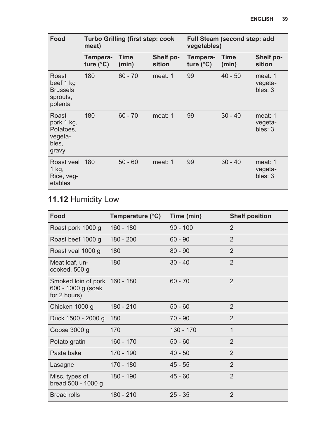| Food<br><b>Turbo Grilling (first step: cook</b><br>meat)      |                                | Full Steam (second step: add<br>vegetables) |                     |                                |               |                               |
|---------------------------------------------------------------|--------------------------------|---------------------------------------------|---------------------|--------------------------------|---------------|-------------------------------|
|                                                               | Tempera-<br>ture $(^{\circ}C)$ | Time<br>(min)                               | Shelf po-<br>sition | Tempera-<br>ture $(^{\circ}C)$ | Time<br>(min) | Shelf po-<br>sition           |
| Roast<br>beef 1 kg<br><b>Brussels</b><br>sprouts,<br>polenta  | 180                            | $60 - 70$                                   | meat: 1             | 99                             | $40 - 50$     | meat: 1<br>vegeta-<br>bles: 3 |
| Roast<br>pork 1 kg,<br>Potatoes,<br>vegeta-<br>bles,<br>gravy | 180                            | $60 - 70$                                   | meat: 1             | 99                             | $30 - 40$     | meat: 1<br>vegeta-<br>bles: 3 |
| Roast yeal 180<br>1 kg,<br>Rice, veg-<br>etables              |                                | $50 - 60$                                   | meat: 1             | 99                             | $30 - 40$     | meat: 1<br>vegeta-<br>bles: 3 |

### **11.12** Humidity Low

| Food                                                                | Temperature (°C) | Time (min)  | <b>Shelf position</b> |
|---------------------------------------------------------------------|------------------|-------------|-----------------------|
| Roast pork 1000 g                                                   | $160 - 180$      | $90 - 100$  | $\mathfrak{D}$        |
| Roast beef 1000 g                                                   | 180 - 200        | $60 - 90$   | $\overline{2}$        |
| Roast veal 1000 g                                                   | 180              | $80 - 90$   | $\mathfrak{p}$        |
| Meat loaf, un-<br>cooked, 500 g                                     | 180              | $30 - 40$   | $\overline{2}$        |
| Smoked loin of pork 160 - 180<br>600 - 1000 g (soak<br>for 2 hours) |                  | $60 - 70$   | $\mathfrak{p}$        |
| Chicken 1000 g                                                      | 180 - 210        | $50 - 60$   | 2                     |
| Duck 1500 - 2000 g                                                  | 180              | $70 - 90$   | 2                     |
| Goose 3000 g                                                        | 170              | $130 - 170$ | $\mathbf{1}$          |
| Potato gratin                                                       | 160 - 170        | $50 - 60$   | $\overline{2}$        |
| Pasta bake                                                          | 170 - 190        | $40 - 50$   | $\mathfrak{D}$        |
| Lasagne                                                             | 170 - 180        | $45 - 55$   | 2                     |
| Misc. types of<br>bread 500 - 1000 g                                | 180 - 190        | $45 - 60$   | $\mathfrak{p}$        |
| <b>Bread rolls</b>                                                  | $180 - 210$      | $25 - 35$   | $\overline{2}$        |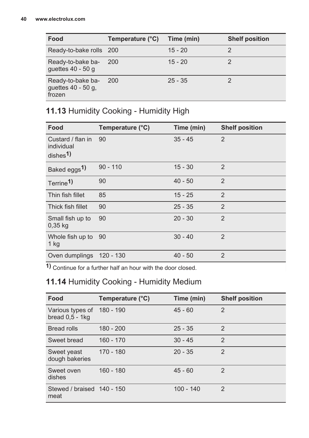| Food                                              | Temperature (°C) Time (min) |           | <b>Shelf position</b> |
|---------------------------------------------------|-----------------------------|-----------|-----------------------|
| Ready-to-bake rolls 200                           |                             | $15 - 20$ |                       |
| Ready-to-bake ba-<br>quettes $40 - 50$ g          | <b>200</b>                  | $15 - 20$ |                       |
| Ready-to-bake ba-<br>quettes 40 - 50 g.<br>frozen | <b>200</b>                  | $25 - 35$ |                       |

## **11.13** Humidity Cooking - Humidity High

| Food                                                   | Temperature (°C) | Time (min) | <b>Shelf position</b> |
|--------------------------------------------------------|------------------|------------|-----------------------|
| Custard / flan in<br>individual<br>dishes <sup>1</sup> | 90               | $35 - 45$  | $\mathfrak{p}$        |
| Baked eggs <sup>1)</sup>                               | $90 - 110$       | $15 - 30$  | $\overline{2}$        |
| Terrine <sup>1</sup>                                   | 90               | $40 - 50$  | $\overline{2}$        |
| Thin fish fillet                                       | 85               | $15 - 25$  | $\overline{2}$        |
| Thick fish fillet                                      | 90               | $25 - 35$  | $\overline{2}$        |
| Small fish up to<br>$0.35$ kg                          | 90               | $20 - 30$  | $\overline{2}$        |
| Whole fish up to<br>1 kg                               | 90               | $30 - 40$  | $\mathfrak{p}$        |
| Oven dumplings                                         | 120 - 130        | $40 - 50$  | $\overline{2}$        |

**1)** Continue for a further half an hour with the door closed.

### **11.14** Humidity Cooking - Humidity Medium

| Food                                     | Temperature (°C) | Time (min)  | <b>Shelf position</b> |
|------------------------------------------|------------------|-------------|-----------------------|
| Various types of<br>bread $0,5$ - 1 $kg$ | 180 - 190        | $45 - 60$   | $\mathfrak{p}$        |
| <b>Bread rolls</b>                       | $180 - 200$      | $25 - 35$   | $\mathfrak{p}$        |
| Sweet bread                              | $160 - 170$      | $30 - 45$   | $\mathfrak{p}$        |
| Sweet yeast<br>dough bakeries            | $170 - 180$      | $20 - 35$   | $\mathfrak{p}$        |
| Sweet oven<br>dishes                     | $160 - 180$      | $45 - 60$   | $\mathfrak{p}$        |
| Stewed / braised 140 - 150<br>meat       |                  | $100 - 140$ | $\mathfrak{p}$        |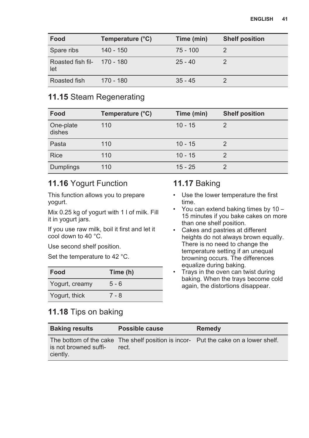| Food                               | Temperature (°C) | Time (min) | <b>Shelf position</b> |
|------------------------------------|------------------|------------|-----------------------|
| Spare ribs                         | $140 - 150$      | $75 - 100$ |                       |
| Roasted fish fil- 170 - 180<br>let |                  | $25 - 40$  |                       |
| Roasted fish                       | 170 - 180        | $35 - 45$  |                       |

### **11.15** Steam Regenerating

| Food                | Temperature (°C) | Time (min) | <b>Shelf position</b> |
|---------------------|------------------|------------|-----------------------|
| One-plate<br>dishes | 110              | $10 - 15$  |                       |
| Pasta               | 110              | $10 - 15$  |                       |
| <b>Rice</b>         | 110              | $10 - 15$  |                       |
| Dumplings           | 110              | $15 - 25$  |                       |

### **11.16** Yogurt Function

This function allows you to prepare yogurt.

Mix 0.25 kg of yogurt with 1 l of milk. Fill it in yogurt jars.

If you use raw milk, boil it first and let it cool down to 40 °C.

Use second shelf position.

Set the temperature to 42 °C.

| Food           | Time (h) |
|----------------|----------|
| Yogurt, creamy | $5 - 6$  |
| Yogurt, thick  | 7 - 8    |

## **11.18** Tips on baking

### **11.17** Baking

- Use the lower temperature the first time.
- You can extend baking times by 10 15 minutes if you bake cakes on more than one shelf position.
- Cakes and pastries at different heights do not always brown equally. There is no need to change the temperature setting if an unequal browning occurs. The differences equalize during baking.
- Trays in the oven can twist during baking. When the trays become cold again, the distortions disappear.

| <b>Baking results</b>             | Possible cause | Remedy                                                                             |
|-----------------------------------|----------------|------------------------------------------------------------------------------------|
| is not browned suffi-<br>ciently. | rect.          | The bottom of the cake The shelf position is incor- Put the cake on a lower shelf. |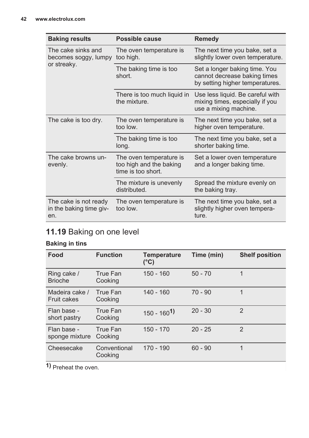| <b>Baking results</b>                                   | Possible cause                                                           | <b>Remedy</b>                                                                                    |
|---------------------------------------------------------|--------------------------------------------------------------------------|--------------------------------------------------------------------------------------------------|
| The cake sinks and<br>becomes soggy, lumpy              | The oven temperature is<br>too high.                                     | The next time you bake, set a<br>slightly lower oven temperature.                                |
| or streaky.                                             | The baking time is too<br>short.                                         | Set a longer baking time. You<br>cannot decrease baking times<br>by setting higher temperatures. |
|                                                         | There is too much liquid in<br>the mixture.                              | Use less liquid. Be careful with<br>mixing times, especially if you<br>use a mixing machine.     |
| The cake is too dry.                                    | The oven temperature is<br>too low.                                      | The next time you bake, set a<br>higher oven temperature.                                        |
|                                                         | The baking time is too<br>long.                                          | The next time you bake, set a<br>shorter baking time.                                            |
| The cake browns un-<br>evenly.                          | The oven temperature is<br>too high and the baking<br>time is too short. | Set a lower oven temperature<br>and a longer baking time.                                        |
|                                                         | The mixture is unevenly<br>distributed.                                  | Spread the mixture evenly on<br>the baking tray.                                                 |
| The cake is not ready<br>in the baking time giv-<br>en. | The oven temperature is<br>too low.                                      | The next time you bake, set a<br>slightly higher oven tempera-<br>ture.                          |

### **11.19** Baking on one level

#### **Baking in tins**

| Food                                 | <b>Function</b>         | <b>Temperature</b><br>(°C) | Time (min) | <b>Shelf position</b> |
|--------------------------------------|-------------------------|----------------------------|------------|-----------------------|
| Ring cake /<br><b>Brioche</b>        | True Fan<br>Cooking     | $150 - 160$                | $50 - 70$  | 1                     |
| Madeira cake /<br><b>Fruit cakes</b> | True Fan<br>Cooking     | $140 - 160$                | $70 - 90$  | 1                     |
| Flan base -<br>short pastry          | True Fan<br>Cooking     | $150 - 1601$               | $20 - 30$  | $\mathfrak{D}$        |
| Flan base -<br>sponge mixture        | True Fan<br>Cooking     | $150 - 170$                | $20 - 25$  | $\mathcal{P}$         |
| Cheesecake                           | Conventional<br>Cooking | $170 - 190$                | $60 - 90$  | 1                     |

**1)** Preheat the oven.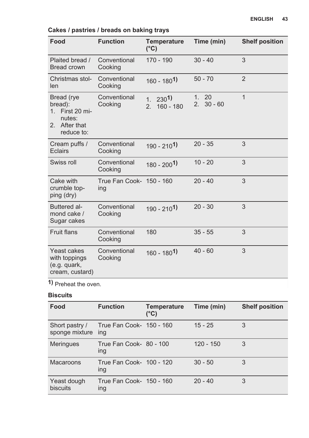| Food                                                                                 | <b>Function</b>                 | <b>Temperature</b><br>$(^{\circ}C)$                     | Time (min)                              | <b>Shelf position</b> |
|--------------------------------------------------------------------------------------|---------------------------------|---------------------------------------------------------|-----------------------------------------|-----------------------|
| Plaited bread /<br>Bread crown                                                       | Conventional<br>Cooking         | $170 - 190$                                             | $30 - 40$                               | 3                     |
| Christmas stol-<br>len                                                               | Conventional<br>Cooking         | $160 - 1801$                                            | $50 - 70$                               | $\overline{2}$        |
| Bread (rye<br>bread):<br>1. First 20 mi-<br>nutes:<br>After that<br>2.<br>reduce to: | Conventional<br>Cooking         | 230 <sup>1</sup><br>1 <sup>1</sup><br>$160 - 180$<br>2. | 20<br>1.<br>$30 - 60$<br>2 <sup>2</sup> | 1                     |
| Cream puffs /<br><b>Eclairs</b>                                                      | Conventional<br>Cooking         | $190 - 2101$                                            | $20 - 35$                               | 3                     |
| Swiss roll                                                                           | Conventional<br>Cooking         | $180 - 2001$                                            | $10 - 20$                               | 3                     |
| Cake with<br>crumble top-<br>ping (dry)                                              | True Fan Cook- 150 - 160<br>ing |                                                         | $20 - 40$                               | 3                     |
| Buttered al-<br>mond cake /<br>Sugar cakes                                           | Conventional<br>Cooking         | $190 - 2101$                                            | $20 - 30$                               | 3                     |
| <b>Fruit flans</b>                                                                   | Conventional<br>Cooking         | 180                                                     | $35 - 55$                               | 3                     |
| Yeast cakes<br>with toppings<br>(e.g. quark,<br>cream, custard)                      | Conventional<br>Cooking         | 160 - 180 <sup>1</sup> )                                | $40 - 60$                               | 3                     |

### **Cakes / pastries / breads on baking trays**

**1)** Preheat the oven.

### **Biscuits**

| Food                             | <b>Function</b>                        | Temperature<br>(°C) | Time (min)  | <b>Shelf position</b> |
|----------------------------------|----------------------------------------|---------------------|-------------|-----------------------|
| Short pastry /<br>sponge mixture | True Fan Cook- 150 - 160<br>ina        |                     | $15 - 25$   | 3                     |
| <b>Meringues</b>                 | True Fan Cook- 80 - 100<br>ing         |                     | $120 - 150$ | 3                     |
| Macaroons                        | True Fan Cook- 100 - 120<br>ing        |                     | $30 - 50$   | 3                     |
| Yeast dough<br>biscuits          | True Fan Cook- 150 - 160<br><b>Ing</b> |                     | $20 - 40$   | 3                     |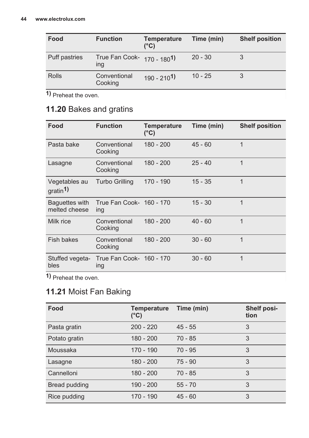| Food          | <b>Function</b>                          | <b>Temperature</b><br>$(^{\circ}C)$ | Time (min) | <b>Shelf position</b> |
|---------------|------------------------------------------|-------------------------------------|------------|-----------------------|
| Puff pastries | True Fan Cook- 170 - 1801)<br><b>Ing</b> |                                     | $20 - 30$  |                       |
| <b>Rolls</b>  | Conventional<br>Cooking                  | $190 - 2101$                        | $10 - 25$  |                       |

**1)** Preheat the oven.

### **11.20** Bakes and gratins

| Food                                   | <b>Function</b>                        | <b>Temperature</b><br>$(^{\circ}C)$ | Time (min) | <b>Shelf position</b> |
|----------------------------------------|----------------------------------------|-------------------------------------|------------|-----------------------|
| Pasta bake                             | Conventional<br>Cooking                | $180 - 200$                         | $45 - 60$  | 1                     |
| Lasagne                                | Conventional<br>Cooking                | $180 - 200$                         | $25 - 40$  | 1                     |
| Vegetables au<br>gratin <sup>1</sup> ) | <b>Turbo Grilling</b>                  | 170 - 190                           | $15 - 35$  | 1                     |
| Baguettes with<br>melted cheese        | True Fan Cook- 160 - 170<br>ing        |                                     | $15 - 30$  | 1                     |
| Milk rice                              | Conventional<br>Cooking                | $180 - 200$                         | $40 - 60$  | 1                     |
| Fish bakes                             | Conventional<br>Cooking                | 180 - 200                           | $30 - 60$  | 1                     |
| Stuffed vegeta-<br>bles                | True Fan Cook- 160 - 170<br><b>Ing</b> |                                     | $30 - 60$  | 1                     |

**1)** Preheat the oven.

### **11.21** Moist Fan Baking

| Food          | Temperature<br>(°C) | Time (min) | Shelf posi-<br>tion |
|---------------|---------------------|------------|---------------------|
| Pasta gratin  | $200 - 220$         | $45 - 55$  | 3                   |
| Potato gratin | $180 - 200$         | $70 - 85$  | 3                   |
| Moussaka      | 170 - 190           | $70 - 95$  | 3                   |
| Lasagne       | $180 - 200$         | $75 - 90$  | 3                   |
| Cannelloni    | $180 - 200$         | $70 - 85$  | 3                   |
| Bread pudding | $190 - 200$         | $55 - 70$  | 3                   |
| Rice pudding  | $170 - 190$         | $45 - 60$  | 3                   |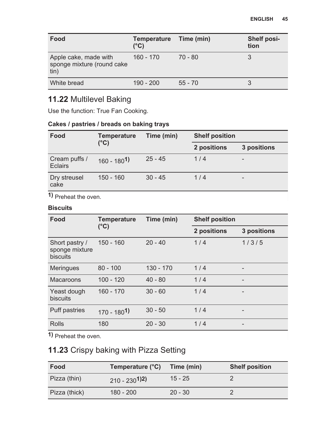| Food                                                        | <b>Temperature</b><br>$(^{\circ}C)$ | Time (min) | <b>Shelf posi-</b><br>tion |
|-------------------------------------------------------------|-------------------------------------|------------|----------------------------|
| Apple cake, made with<br>sponge mixture (round cake<br>tin) | $160 - 170$                         | $70 - 80$  | 3                          |
| White bread                                                 | $190 - 200$                         | $55 - 70$  | 3                          |

### **11.22** Multilevel Baking

Use the function: True Fan Cooking.

#### **Cakes / pastries / breads on baking trays**

| Food                            | <b>Temperature</b><br>$(^{\circ}C)$ | Time (min) | <b>Shelf position</b> |                          |
|---------------------------------|-------------------------------------|------------|-----------------------|--------------------------|
|                                 |                                     |            | 2 positions           | 3 positions              |
| Cream puffs /<br><b>Eclairs</b> | $160 - 180^{1}$                     | $25 - 45$  | 1/4                   | $\qquad \qquad$          |
| Dry streusel<br>cake            | $150 - 160$                         | $30 - 45$  | 1/4                   | $\overline{\phantom{0}}$ |

**1)** Preheat the oven.

#### **Biscuits**

| Food                                         | <b>Temperature</b> | Time (min)  | <b>Shelf position</b> |                 |
|----------------------------------------------|--------------------|-------------|-----------------------|-----------------|
|                                              | (°C)               |             | 2 positions           | 3 positions     |
| Short pastry /<br>sponge mixture<br>biscuits | $150 - 160$        | $20 - 40$   | 1/4                   | 1/3/5           |
| <b>Meringues</b>                             | $80 - 100$         | $130 - 170$ | 1/4                   |                 |
| Macaroons                                    | $100 - 120$        | $40 - 80$   | 1/4                   |                 |
| Yeast dough<br>biscuits                      | $160 - 170$        | $30 - 60$   | 1/4                   |                 |
| Puff pastries                                | $170 - 1801$       | $30 - 50$   | 1/4                   | $\qquad \qquad$ |
| <b>Rolls</b>                                 | 180                | $20 - 30$   | 1/4                   |                 |

**1)** Preheat the oven.

### **11.23** Crispy baking with Pizza Setting

| Food          | Temperature (°C) | Time (min) | <b>Shelf position</b> |
|---------------|------------------|------------|-----------------------|
| Pizza (thin)  | $210 - 230^{12}$ | $15 - 25$  |                       |
| Pizza (thick) | $180 - 200$      | $20 - 30$  |                       |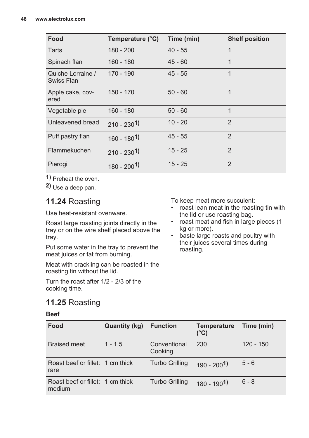| Food                            | Temperature (°C) | Time (min) | <b>Shelf position</b> |
|---------------------------------|------------------|------------|-----------------------|
| Tarts                           | 180 - 200        | $40 - 55$  |                       |
| Spinach flan                    | 160 - 180        | $45 - 60$  | 1                     |
| Quiche Lorraine /<br>Swiss Flan | 170 - 190        | $45 - 55$  | 1                     |
| Apple cake, cov-<br>ered        | $150 - 170$      | $50 - 60$  | 1                     |
| Vegetable pie                   | $160 - 180$      | $50 - 60$  | 1                     |
| Unleavened bread                | $210 - 2301$     | $10 - 20$  | $\mathfrak{p}$        |
| Puff pastry flan                | $160 - 1801$     | $45 - 55$  | $\overline{2}$        |
| Flammekuchen                    | $210 - 2301$     | $15 - 25$  | $\mathfrak{p}$        |
| Pierogi                         | $180 - 2001$     | $15 - 25$  | $\overline{2}$        |

**1)** Preheat the oven.

**2)** Use a deep pan.

### **11.24** Roasting

Use heat-resistant ovenware.

Roast large roasting joints directly in the tray or on the wire shelf placed above the tray.

Put some water in the tray to prevent the meat juices or fat from burning.

Meat with crackling can be roasted in the roasting tin without the lid.

Turn the roast after 1/2 - 2/3 of the cooking time.

### **11.25** Roasting

#### **Beef**

**Food Quantity (kg) Function Temperature (°C) Time (min)** Braised meet 1 - 1.5 Conventional Cooking 230 120 - 150 Roast beef or fillet: rare Turbo Grilling 190 - 200<sup>1</sup>) 5 - 6 Roast beef or fillet: medium Turbo Grilling 180 - 190<sup>1</sup>) 6 - 8

To keep meat more succulent:

- roast lean meat in the roasting tin with the lid or use roasting bag.
- roast meat and fish in large pieces (1 kg or more).
- baste large roasts and poultry with their juices several times during roasting.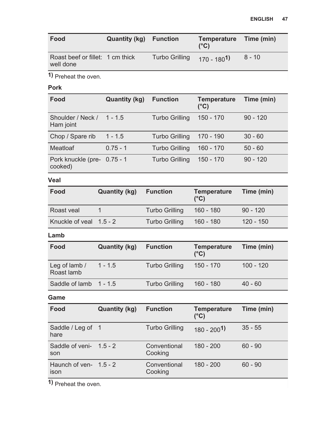| Food                                          | <b>Quantity (kg)</b> Function |                | Temperature Time (min)<br>$(^{\circ}C)$ |          |
|-----------------------------------------------|-------------------------------|----------------|-----------------------------------------|----------|
| Roast beef or fillet: 1 cm thick<br>well done |                               | Turbo Grilling | $170 - 180^{1}$                         | $8 - 10$ |

**1)** Preheat the oven.

#### **Pork**

| Food                                   | Quantity (kg) | <b>Function</b> | <b>Temperature</b><br>$(^{\circ}C)$ | Time (min) |
|----------------------------------------|---------------|-----------------|-------------------------------------|------------|
| Shoulder / Neck /<br>Ham joint         | $1 - 1.5$     | Turbo Grilling  | 150 - 170                           | $90 - 120$ |
| Chop / Spare rib                       | $1 - 1.5$     | Turbo Grilling  | 170 - 190                           | $30 - 60$  |
| Meatloaf                               | $0.75 - 1$    | Turbo Grilling  | $160 - 170$                         | $50 - 60$  |
| Pork knuckle (pre- 0.75 - 1<br>cooked) |               | Turbo Grilling  | $150 - 170$                         | $90 - 120$ |

#### **Veal**

| Food                    | Quantity (kg) | <b>Function</b>       | <b>Temperature</b><br>$(^{\circ}C)$ | Time (min)  |
|-------------------------|---------------|-----------------------|-------------------------------------|-------------|
| Roast veal              |               | <b>Turbo Grilling</b> | 160 - 180                           | $90 - 120$  |
| Knuckle of yeal 1.5 - 2 |               | <b>Turbo Grilling</b> | 160 - 180                           | $120 - 150$ |

#### **Lamb**

| Food                        | Quantity (kg) | <b>Function</b> | <b>Temperature</b><br>$(^{\circ}C)$ | Time (min)  |
|-----------------------------|---------------|-----------------|-------------------------------------|-------------|
| Leg of lamb /<br>Roast lamb | $1 - 1.5$     | Turbo Grilling  | $150 - 170$                         | $100 - 120$ |
| Saddle of lamb 1 - 1.5      |               | Turbo Grilling  | 160 - 180                           | $40 - 60$   |

#### **Game**

| Food                             | Quantity (kg) | <b>Function</b>         | <b>Temperature</b><br>(°C) | Time (min) |
|----------------------------------|---------------|-------------------------|----------------------------|------------|
| Saddle / Leg of 1<br>hare        |               | Turbo Grilling          | $180 - 2001$               | $35 - 55$  |
| Saddle of veni- $1.5 - 2$<br>son |               | Conventional<br>Cooking | $180 - 200$                | $60 - 90$  |
| Haunch of ven- $1.5 - 2$<br>ison |               | Conventional<br>Cooking | $180 - 200$                | $60 - 90$  |

1) Preheat the oven.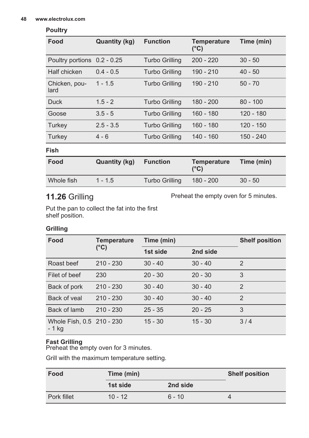#### **Poultry**

| Food                        | Quantity (kg) | <b>Function</b>       | <b>Temperature</b><br>(°C) | Time (min)  |
|-----------------------------|---------------|-----------------------|----------------------------|-------------|
| Poultry portions 0.2 - 0.25 |               | <b>Turbo Grilling</b> | $200 - 220$                | $30 - 50$   |
| Half chicken                | $0.4 - 0.5$   | <b>Turbo Grilling</b> | $190 - 210$                | $40 - 50$   |
| Chicken, pou-<br>lard       | $1 - 1.5$     | <b>Turbo Grilling</b> | $190 - 210$                | $50 - 70$   |
| <b>Duck</b>                 | $1.5 - 2$     | <b>Turbo Grilling</b> | 180 - 200                  | $80 - 100$  |
| Goose                       | $3.5 - 5$     | <b>Turbo Grilling</b> | $160 - 180$                | $120 - 180$ |
| Turkey                      | $2.5 - 3.5$   | <b>Turbo Grilling</b> | $160 - 180$                | $120 - 150$ |
| Turkey                      | $4 - 6$       | <b>Turbo Grilling</b> | $140 - 160$                | 150 - 240   |

**Fish**

| Food       | Quantity (kg) | <b>Function</b> | Temperature<br>$(^{\circ}C)$ | Time (min) |
|------------|---------------|-----------------|------------------------------|------------|
| Whole fish | $1 - 1.5$     | Turbo Grilling  | 180 - 200                    | $30 - 50$  |

### **11.26** Grilling

Preheat the empty oven for 5 minutes.

Put the pan to collect the fat into the first shelf position.

#### **Grilling**

| Food                                 | <b>Temperature</b> | Time (min) |           | <b>Shelf position</b> |
|--------------------------------------|--------------------|------------|-----------|-----------------------|
|                                      | (°C)               | 1st side   | 2nd side  |                       |
| Roast beef                           | $210 - 230$        | $30 - 40$  | $30 - 40$ | $\mathfrak{p}$        |
| Filet of beef                        | 230                | $20 - 30$  | $20 - 30$ | 3                     |
| Back of pork                         | $210 - 230$        | $30 - 40$  | $30 - 40$ | $\mathcal{P}$         |
| Back of yeal                         | $210 - 230$        | $30 - 40$  | $30 - 40$ | $\mathfrak{D}$        |
| Back of lamb                         | $210 - 230$        | $25 - 35$  | $20 - 25$ | 3                     |
| Whole Fish, 0.5 210 - 230<br>$-1$ kg |                    | $15 - 30$  | $15 - 30$ | 3/4                   |

#### **Fast Grilling**

Preheat the empty oven for 3 minutes.

Grill with the maximum temperature setting.

| Food        | Time (min) |          | <b>Shelf position</b> |
|-------------|------------|----------|-----------------------|
|             | 1st side   | 2nd side |                       |
| Pork fillet | $10 - 12$  | $6 - 10$ |                       |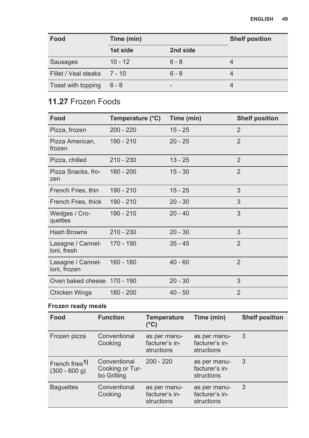| Food                        | Time (min) |          | <b>Shelf position</b> |
|-----------------------------|------------|----------|-----------------------|
|                             | 1st side   | 2nd side |                       |
| Sausages                    | $10 - 12$  | $6 - 8$  |                       |
| Fillet / Veal steaks 7 - 10 |            | $6 - 8$  |                       |
| Toast with topping          | $6 - 8$    |          |                       |

## **11.27** Frozen Foods

| Food                              | Temperature (°C) | Time (min) | <b>Shelf position</b> |
|-----------------------------------|------------------|------------|-----------------------|
| Pizza, frozen                     | $200 - 220$      | $15 - 25$  | $\mathfrak{p}$        |
| Pizza American,<br>frozen         | 190 - 210        | $20 - 25$  | $\mathfrak{p}$        |
| Pizza, chilled                    | $210 - 230$      | $13 - 25$  | $\overline{2}$        |
| Pizza Snacks, fro-<br>zen         | 180 - 200        | $15 - 30$  | $\overline{2}$        |
| French Fries, thin                | 190 - 210        | $15 - 25$  | 3                     |
| French Fries, thick               | 190 - 210        | $20 - 30$  | 3                     |
| Wedges / Cro-<br>quettes          | 190 - 210        | $20 - 40$  | 3                     |
| Hash Browns                       | $210 - 230$      | $20 - 30$  | 3                     |
| Lasagne / Cannel-<br>loni, fresh  | 170 - 190        | $35 - 45$  | $\mathfrak{p}$        |
| Lasagne / Cannel-<br>loni, frozen | $160 - 180$      | $40 - 60$  | $\overline{2}$        |
| Oven baked cheese 170 - 190       |                  | $20 - 30$  | 3                     |
| Chicken Wings                     | 180 - 200        | $40 - 50$  | $\overline{2}$        |

#### **Frozen ready meals**

| Food                                           | <b>Function</b>                                | <b>Temperature</b><br>$(^{\circ}C)$          | Time (min)                                   | <b>Shelf position</b> |
|------------------------------------------------|------------------------------------------------|----------------------------------------------|----------------------------------------------|-----------------------|
| Frozen pizza                                   | Conventional<br>Cooking                        | as per manu-<br>facturer's in-<br>structions | as per manu-<br>facturer's in-<br>structions | 3                     |
| French fries <sup>1</sup> )<br>$(300 - 600 g)$ | Conventional<br>Cooking or Tur-<br>bo Grilling | $200 - 220$                                  | as per manu-<br>facturer's in-<br>structions | 3                     |
| <b>Baguettes</b>                               | Conventional<br>Cooking                        | as per manu-<br>facturer's in-<br>structions | as per manu-<br>facturer's in-<br>structions | 3                     |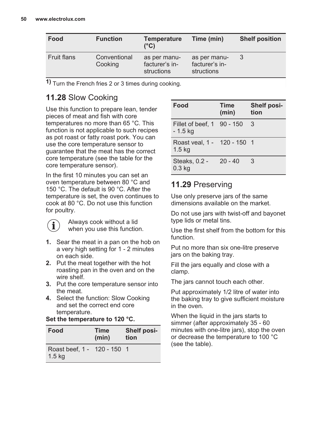| Food               | <b>Function</b>         | <b>Temperature</b><br>(°C)                   | Time (min)                                   | <b>Shelf position</b> |
|--------------------|-------------------------|----------------------------------------------|----------------------------------------------|-----------------------|
| <b>Fruit flans</b> | Conventional<br>Cooking | as per manu-<br>facturer's in-<br>structions | as per manu-<br>facturer's in-<br>structions |                       |

**1)** Turn the French fries 2 or 3 times during cooking.

### **11.28** Slow Cooking

Use this function to prepare lean, tender pieces of meat and fish with core temperatures no more than 65 °C. This function is not applicable to such recipes as pot roast or fatty roast pork. You can use the core temperature sensor to guarantee that the meat has the correct core temperature (see the table for the core temperature sensor).

In the first 10 minutes you can set an oven temperature between 80 °C and 150 °C. The default is 90 °C. After the temperature is set, the oven continues to cook at 80 °C. Do not use this function for poultry.

Always cook without a lid when you use this function.

- **1.** Sear the meat in a pan on the hob on a very high setting for 1 - 2 minutes on each side.
- **2.** Put the meat together with the hot roasting pan in the oven and on the wire shelf.
- **3.** Put the core temperature sensor into the meat.
- **4.** Select the function: Slow Cooking and set the correct end core temperature.

| Set the temperature to 120 °C. |  |
|--------------------------------|--|
|                                |  |

| Food                                             | <b>Time</b><br>(min) | <b>Shelf posi-</b><br>tion |
|--------------------------------------------------|----------------------|----------------------------|
| Roast beef, 1 - 120 - 150 1<br>1.5 <sub>kg</sub> |                      |                            |

| Food                                             | <b>Time</b><br>(min) | <b>Shelf posi-</b><br>tion |
|--------------------------------------------------|----------------------|----------------------------|
| Fillet of beef. 1 90 - 150<br>- 1.5 kg           |                      | 3                          |
| Roast veal. 1 - 120 - 150 1<br>1.5 <sub>kq</sub> |                      |                            |
| Steaks, 0.2 -<br>$0.3$ kg                        | $20 - 40$            | 3                          |

### **11.29** Preserving

Use only preserve jars of the same dimensions available on the market.

Do not use jars with twist-off and bayonet type lids or metal tins.

Use the first shelf from the bottom for this function.

Put no more than six one-litre preserve jars on the baking tray.

Fill the jars equally and close with a clamp.

The jars cannot touch each other.

Put approximately 1/2 litre of water into the baking tray to give sufficient moisture in the oven.

When the liquid in the jars starts to simmer (after approximately 35 - 60 minutes with one-litre jars), stop the oven or decrease the temperature to 100 °C (see the table).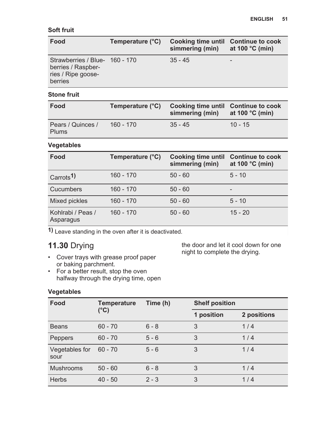#### **Soft fruit**

| Food                                                                                  | Temperature (°C) | Cooking time until Continue to cook<br>simmering (min) | at 100 $^{\circ}$ C (min) |
|---------------------------------------------------------------------------------------|------------------|--------------------------------------------------------|---------------------------|
| Strawberries / Blue- 160 - 170<br>berries / Raspber-<br>ries / Ripe goose-<br>berries |                  | $35 - 45$                                              | -                         |

#### **Stone fruit**

| Food                              | Temperature (°C) | Cooking time until Continue to cook<br>simmering (min) at 100 $\degree$ C (min) |           |
|-----------------------------------|------------------|---------------------------------------------------------------------------------|-----------|
| Pears / Quinces /<br><b>Plums</b> | $160 - 170$      | $35 - 45$                                                                       | $10 - 15$ |

#### **Vegetables**

| Food                           | Temperature (°C) | <b>Cooking time until</b><br>simmering (min) | <b>Continue to cook</b><br>at 100 $°C$ (min) |
|--------------------------------|------------------|----------------------------------------------|----------------------------------------------|
| Carrots <sup>1</sup>           | $160 - 170$      | $50 - 60$                                    | $5 - 10$                                     |
| Cucumbers                      | $160 - 170$      | $50 - 60$                                    | -                                            |
| Mixed pickles                  | $160 - 170$      | $50 - 60$                                    | $5 - 10$                                     |
| Kohlrabi / Peas /<br>Asparagus | $160 - 170$      | $50 - 60$                                    | $15 - 20$                                    |

**1)** Leave standing in the oven after it is deactivated.

### **11.30** Drying

- Cover trays with grease proof paper or baking parchment.
- For a better result, stop the oven halfway through the drying time, open

the door and let it cool down for one night to complete the drying.

#### **Vegetables**

| Food                   | <b>Temperature</b><br>(°C) | Time (h) | <b>Shelf position</b> |             |
|------------------------|----------------------------|----------|-----------------------|-------------|
|                        |                            |          | 1 position            | 2 positions |
| <b>Beans</b>           | $60 - 70$                  | $6 - 8$  | 3                     | 1/4         |
| Peppers                | $60 - 70$                  | $5 - 6$  | 3                     | 1/4         |
| Vegetables for<br>sour | $60 - 70$                  | $5 - 6$  | 3                     | 1/4         |
| <b>Mushrooms</b>       | $50 - 60$                  | $6 - 8$  | 3                     | 1/4         |
| <b>Herbs</b>           | $40 - 50$                  | $2 - 3$  | 3                     | 1/4         |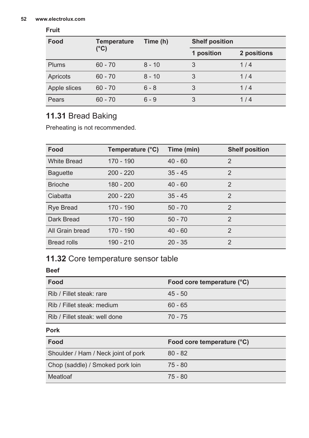#### **52 www.electrolux.com**

#### **Fruit**

| Food         | <b>Temperature</b><br>(°C) | Time (h) | <b>Shelf position</b> |             |
|--------------|----------------------------|----------|-----------------------|-------------|
|              |                            |          | 1 position            | 2 positions |
| <b>Plums</b> | $60 - 70$                  | $8 - 10$ |                       | 1/4         |
| Apricots     | $60 - 70$                  | $8 - 10$ | 3                     | 1/4         |
| Apple slices | $60 - 70$                  | $6 - 8$  | 3                     | 1/4         |
| Pears        | $60 - 70$                  | $6 - 9$  | 3                     | 1/4         |

### **11.31** Bread Baking

Preheating is not recommended.

| Food               | Temperature (°C) | Time (min) | <b>Shelf position</b> |
|--------------------|------------------|------------|-----------------------|
| <b>White Bread</b> | 170 - 190        | $40 - 60$  | $\mathfrak{p}$        |
| <b>Baguette</b>    | $200 - 220$      | $35 - 45$  | $\mathfrak{p}$        |
| <b>Brioche</b>     | $180 - 200$      | $40 - 60$  | $\mathfrak{p}$        |
| Ciabatta           | $200 - 220$      | $35 - 45$  | $\mathfrak{p}$        |
| <b>Rye Bread</b>   | 170 - 190        | $50 - 70$  | $\mathfrak{p}$        |
| Dark Bread         | 170 - 190        | $50 - 70$  | $\mathfrak{p}$        |
| All Grain bread    | 170 - 190        | $40 - 60$  | $\overline{2}$        |
| <b>Bread rolls</b> | $190 - 210$      | $20 - 35$  | $\mathfrak{p}$        |

### **11.32** Core temperature sensor table

#### **Beef**

| Food                                | Food core temperature (°C) |
|-------------------------------------|----------------------------|
| Rib / Fillet steak: rare            | $45 - 50$                  |
| Rib / Fillet steak: medium          | $60 - 65$                  |
| Rib / Fillet steak: well done       | $70 - 75$                  |
| <b>Pork</b>                         |                            |
| Food                                | Food core temperature (°C) |
| Shoulder / Ham / Neck joint of pork | $80 - 82$                  |
| Chop (saddle) / Smoked pork loin    | $75 - 80$                  |
| Meatloaf                            | $75 - 80$                  |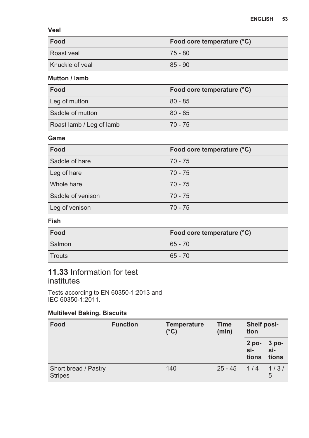**Veal**

| Food                 | Food core temperature (°C) |
|----------------------|----------------------------|
| Roast veal           | 75 - 80                    |
| Knuckle of yeal      | $85 - 90$                  |
| <b>Mutton / lamb</b> |                            |

| Food                     | Food core temperature (°C) |
|--------------------------|----------------------------|
| Leg of mutton            | $80 - 85$                  |
| Saddle of mutton         | $80 - 85$                  |
| Roast lamb / Leg of lamb | $70 - 75$                  |

#### **Game**

| Food              | Food core temperature (°C) |
|-------------------|----------------------------|
| Saddle of hare    | $70 - 75$                  |
| Leg of hare       | $70 - 75$                  |
| Whole hare        | $70 - 75$                  |
| Saddle of venison | $70 - 75$                  |
| Leg of venison    | $70 - 75$                  |

#### **Fish**

| Food   | Food core temperature (°C) |  |
|--------|----------------------------|--|
| Salmon | $65 - 70$                  |  |
| Trouts | $65 - 70$                  |  |

### **11.33** Information for test institutes

Tests according to EN 60350-1:2013 and IEC 60350-1:2011.

#### **Multilevel Baking. Biscuits**

| Food                                   | <b>Temperature</b><br><b>Function</b><br>$(^{\circ}C)$ |     | Time<br>(min) | Shelf posi-<br>tion     |                       |
|----------------------------------------|--------------------------------------------------------|-----|---------------|-------------------------|-----------------------|
|                                        |                                                        |     |               | $2$ po-<br>si-<br>tions | 3 po-<br>si-<br>tions |
| Short bread / Pastry<br><b>Stripes</b> |                                                        | 140 | $25 - 45$     | 1/4                     | 1/3/<br>5             |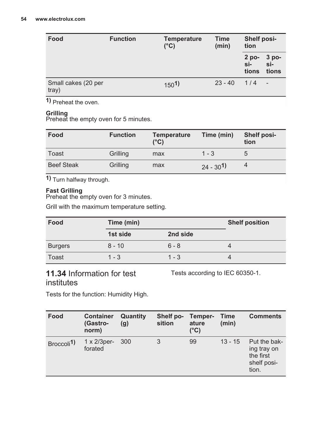| Food                         | <b>Function</b> | <b>Temperature</b><br>$(^{\circ}C)$ | Shelf posi-<br>Time<br>tion<br>(min) |                           |                         |
|------------------------------|-----------------|-------------------------------------|--------------------------------------|---------------------------|-------------------------|
|                              |                 |                                     |                                      | $2$ po-<br>$s -$<br>tions | 3 po-<br>$s -$<br>tions |
| Small cakes (20 per<br>tray) |                 | 150 <sup>1</sup>                    | $23 - 40$                            | 1/4                       | $\sim$                  |

**1)** Preheat the oven.

#### **Grilling**

Preheat the empty oven for 5 minutes.

| Food              | <b>Function</b> | <b>Temperature</b><br>$(^{\circ}C)$ | Time (min)    | Shelf posi-<br>tion |
|-------------------|-----------------|-------------------------------------|---------------|---------------------|
| Toast             | Grilling        | max                                 | $1 - 3$       | 5                   |
| <b>Beef Steak</b> | Grilling        | max                                 | $24 - 30^{1}$ | 4                   |

**1)** Turn halfway through.

#### **Fast Grilling**

Preheat the empty oven for 3 minutes.

Grill with the maximum temperature setting.

| Food           | Time (min) |          | <b>Shelf position</b> |
|----------------|------------|----------|-----------------------|
|                | 1st side   | 2nd side |                       |
| <b>Burgers</b> | $8 - 10$   | $6 - 8$  |                       |
| Toast          | $1 - 3$    | 1 - 3    |                       |

### **11.34** Information for test institutes

Tests according to IEC 60350-1.

Tests for the function: Humidity High.

| Food                  | <b>Container</b><br>(Gastro-<br>norm) | Quantity<br>(g) | Shelf po-<br>sition | Temper-<br>ature<br>$(^{\circ}C)$ | Time<br>(min) | <b>Comments</b>                                                  |
|-----------------------|---------------------------------------|-----------------|---------------------|-----------------------------------|---------------|------------------------------------------------------------------|
| Broccoli <sup>1</sup> | $1 \times 2/3$ per-<br>forated        | 300             | 3                   | 99                                | $13 - 15$     | Put the bak-<br>ing tray on<br>the first<br>shelf posi-<br>tion. |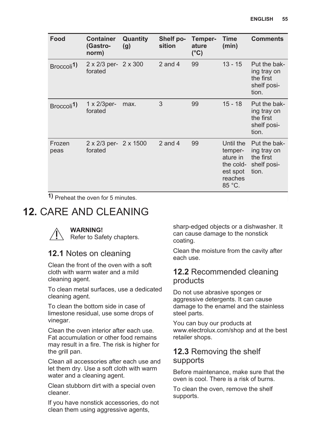<span id="page-54-0"></span>

| Food                    | <b>Container</b><br>(Gastro-<br>norm) | Quantity<br>(g) | Shelf po-<br>sition | Temper-<br>ature<br>$(^{\circ}C)$ | Time<br>(min)                                                                  | <b>Comments</b>                                                  |
|-------------------------|---------------------------------------|-----------------|---------------------|-----------------------------------|--------------------------------------------------------------------------------|------------------------------------------------------------------|
| Broccoli <sup>1</sup> ) | 2 x 2/3 per-<br>forated               | 2 x 300         | 2 and 4             | 99                                | $13 - 15$                                                                      | Put the bak-<br>ing tray on<br>the first<br>shelf posi-<br>tion. |
| Broccoli <sup>1</sup> ) | $1 \times 2/3$ per-<br>forated        | max.            | 3                   | 99                                | $15 - 18$                                                                      | Put the bak-<br>ing tray on<br>the first<br>shelf posi-<br>tion. |
| Frozen<br>peas          | 2 x 2/3 per-<br>forated               | 2 x 1500        | $2$ and $4$         | 99                                | Until the<br>temper-<br>ature in<br>the cold-<br>est spot<br>reaches<br>85 °C. | Put the bak-<br>ing tray on<br>the first<br>shelf posi-<br>tion. |

**1)** Preheat the oven for 5 minutes.

## **12. CARE AND CLEANING**

**WARNING!** Refer to Safety chapters.

### **12.1** Notes on cleaning

Clean the front of the oven with a soft cloth with warm water and a mild cleaning agent.

To clean metal surfaces, use a dedicated cleaning agent.

To clean the bottom side in case of limestone residual, use some drops of vinegar.

Clean the oven interior after each use. Fat accumulation or other food remains may result in a fire. The risk is higher for the grill pan.

Clean all accessories after each use and let them dry. Use a soft cloth with warm water and a cleaning agent.

Clean stubborn dirt with a special oven cleaner.

If you have nonstick accessories, do not clean them using aggressive agents,

sharp-edged objects or a dishwasher. It can cause damage to the nonstick coating.

Clean the moisture from the cavity after each use.

#### **12.2** Recommended cleaning products

Do not use abrasive sponges or aggressive detergents. It can cause damage to the enamel and the stainless steel parts.

You can buy our products at www.electrolux.com/shop and at the best retailer shops.

### **12.3** Removing the shelf supports

Before maintenance, make sure that the oven is cool. There is a risk of burns.

To clean the oven, remove the shelf supports.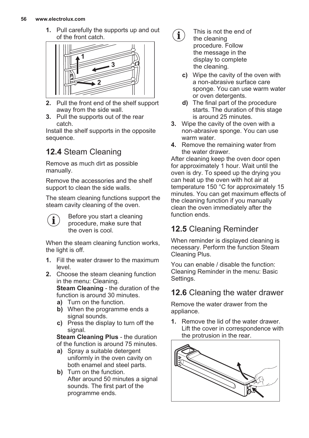#### **56 www.electrolux.com**

**1.** Pull carefully the supports up and out of the front catch.



- **2.** Pull the front end of the shelf support away from the side wall.
- **3.** Pull the supports out of the rear catch.

Install the shelf supports in the opposite sequence.

### **12.4** Steam Cleaning

Remove as much dirt as possible manually.

Remove the accessories and the shelf support to clean the side walls.

The steam cleaning functions support the steam cavity cleaning of the oven.

Before you start a cleaning i procedure, make sure that the oven is cool.

When the steam cleaning function works. the light is off.

- **1.** Fill the water drawer to the maximum level.
- **2.** Choose the steam cleaning function in the menu: Cleaning. **Steam Cleaning** - the duration of the function is around 30 minutes.
	- **a)** Turn on the function.
	- **b)** When the programme ends a signal sounds.
	- **c)** Press the display to turn off the signal.

**Steam Cleaning Plus** - the duration of the function is around 75 minutes.

- **a)** Spray a suitable detergent uniformly in the oven cavity on both enamel and steel parts.
- **b)** Turn on the function. After around 50 minutes a signal sounds. The first part of the programme ends.



- This is not the end of the cleaning procedure. Follow the message in the display to complete the cleaning.
- **c)** Wipe the cavity of the oven with a non-abrasive surface care sponge. You can use warm water or oven detergents.
- **d)** The final part of the procedure starts. The duration of this stage is around 25 minutes.
- **3.** Wipe the cavity of the oven with a non-abrasive sponge. You can use warm water.
- **4.** Remove the remaining water from the water drawer.

After cleaning keep the oven door open for approximately 1 hour. Wait until the oven is dry. To speed up the drying you can heat up the oven with hot air at temperature 150 °C for approximately 15 minutes. You can get maximum effects of the cleaning function if you manually clean the oven immediately after the function ends.

### **12.5** Cleaning Reminder

When reminder is displayed cleaning is necessary. Perform the function Steam Cleaning Plus.

You can enable / disable the function: Cleaning Reminder in the menu: Basic Settings.

### **12.6** Cleaning the water drawer

Remove the water drawer from the appliance.

**1.** Remove the lid of the water drawer. Lift the cover in correspondence with the protrusion in the rear.

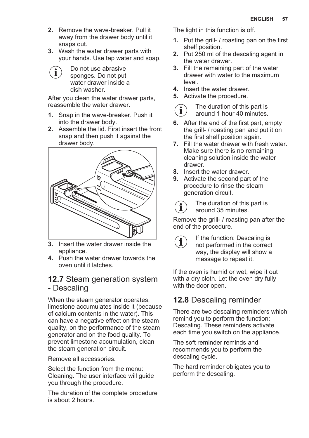- **2.** Remove the wave-breaker. Pull it away from the drawer body until it snaps out.
- **3.** Wash the water drawer parts with your hands. Use tap water and soap.

Do not use abrasive j. sponges. Do not put water drawer inside a dish washer.

After you clean the water drawer parts, reassemble the water drawer.

- **1.** Snap in the wave-breaker. Push it into the drawer body.
- **2.** Assemble the lid. First insert the front snap and then push it against the drawer body.



- **3.** Insert the water drawer inside the appliance.
- **4.** Push the water drawer towards the oven until it latches.

### **12.7** Steam generation system - Descaling

When the steam generator operates. limestone accumulates inside it (because of calcium contents in the water). This can have a negative effect on the steam quality, on the performance of the steam generator and on the food quality. To prevent limestone accumulation, clean the steam generation circuit.

Remove all accessories.

Select the function from the menu: Cleaning. The user interface will guide you through the procedure.

The duration of the complete procedure is about 2 hours.

The light in this function is off.

- **1.** Put the grill- / roasting pan on the first shelf position.
- **2.** Put 250 ml of the descaling agent in the water drawer.
- **3.** Fill the remaining part of the water drawer with water to the maximum level.
- **4.** Insert the water drawer.
- **5.** Activate the procedure.

The duration of this part is  $\mathbf{i}$ around 1 hour 40 minutes.

- **6.** After the end of the first part, empty the grill- / roasting pan and put it on the first shelf position again.
- **7.** Fill the water drawer with fresh water. Make sure there is no remaining cleaning solution inside the water drawer.
- **8.** Insert the water drawer.
- **9.** Activate the second part of the procedure to rinse the steam generation circuit.
	- The duration of this part is around 35 minutes.

Remove the grill- / roasting pan after the end of the procedure.

If the function: Descaling is not performed in the correct way, the display will show a message to repeat it.

If the oven is humid or wet, wipe it out with a dry cloth. Let the oven dry fully with the door open.

### **12.8** Descaling reminder

There are two descaling reminders which remind you to perform the function: Descaling. These reminders activate each time you switch on the appliance.

The soft reminder reminds and recommends you to perform the descaling cycle.

The hard reminder obligates you to perform the descaling.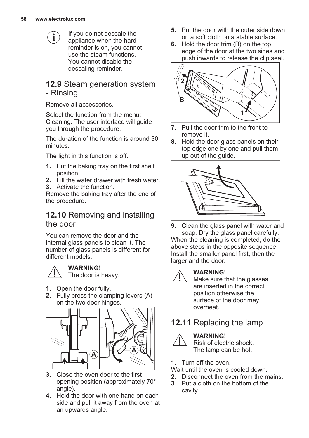$\mathbf{\hat{i}}$ 

If you do not descale the appliance when the hard reminder is on, you cannot use the steam functions. You cannot disable the descaling reminder.

### **12.9** Steam generation system - Rinsing

Remove all accessories.

Select the function from the menu: Cleaning. The user interface will guide you through the procedure.

The duration of the function is around 30 minutes.

The light in this function is off.

- **1.** Put the baking tray on the first shelf position.
- **2.** Fill the water drawer with fresh water.
- **3.** Activate the function.

Remove the baking tray after the end of the procedure.

### **12.10** Removing and installing the door

You can remove the door and the internal glass panels to clean it. The number of glass panels is different for different models.



#### **WARNING!**

The door is heavy.

- **1.** Open the door fully.
- **2.** Fully press the clamping levers (A) on the two door hinges.



- **3.** Close the oven door to the first opening position (approximately 70° angle).
- **4.** Hold the door with one hand on each side and pull it away from the oven at an upwards angle.
- **5.** Put the door with the outer side down on a soft cloth on a stable surface.
- **6.** Hold the door trim (B) on the top edge of the door at the two sides and push inwards to release the clip seal.



- **7.** Pull the door trim to the front to remove it.
- **8.** Hold the door glass panels on their top edge one by one and pull them up out of the guide.



**9.** Clean the glass panel with water and soap. Dry the glass panel carefully. When the cleaning is completed, do the above steps in the opposite sequence. Install the smaller panel first, then the larger and the door.



#### **WARNING!**

Make sure that the glasses are inserted in the correct position otherwise the surface of the door may overheat.

### **12.11** Replacing the lamp



#### **WARNING!**

Risk of electric shock. The lamp can be hot.

- **1.** Turn off the oven.
- Wait until the oven is cooled down.
- **2.** Disconnect the oven from the mains.
- **3.** Put a cloth on the bottom of the cavity.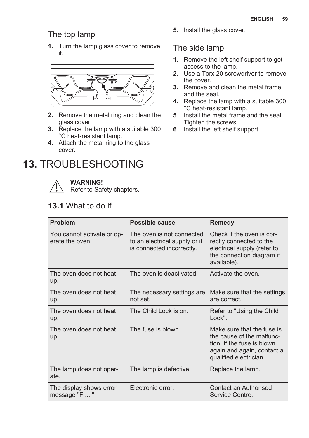### <span id="page-58-0"></span>The top lamp

**1.** Turn the lamp glass cover to remove it.



- **2.** Remove the metal ring and clean the glass cover.
- **3.** Replace the lamp with a suitable 300 °C heat-resistant lamp.
- **4.** Attach the metal ring to the glass cover.

## **13.** TROUBLESHOOTING



#### **WARNING!**

Refer to Safety chapters.

### **13.1** What to do if...

#### **5.** Install the glass cover.

### The side lamp

- **1.** Remove the left shelf support to get access to the lamp.
- **2.** Use a Torx 20 screwdriver to remove the cover.
- **3.** Remove and clean the metal frame and the seal.
- **4.** Replace the lamp with a suitable 300 °C heat-resistant lamp.
- **5.** Install the metal frame and the seal. Tighten the screws.
- **6.** Install the left shelf support.

| Problem                                       | Possible cause                                                                          | <b>Remedy</b>                                                                                                                                 |
|-----------------------------------------------|-----------------------------------------------------------------------------------------|-----------------------------------------------------------------------------------------------------------------------------------------------|
| You cannot activate or op-<br>erate the oven. | The oven is not connected<br>to an electrical supply or it<br>is connected incorrectly. | Check if the oven is cor-<br>rectly connected to the<br>electrical supply (refer to<br>the connection diagram if<br>available).               |
| The oven does not heat<br>up.                 | The oven is deactivated.                                                                | Activate the oven.                                                                                                                            |
| The oven does not heat<br>up.                 | The necessary settings are<br>not set.                                                  | Make sure that the settings<br>are correct.                                                                                                   |
| The oven does not heat<br>up.                 | The Child Lock is on.                                                                   | Refer to "Using the Child"<br>Lock".                                                                                                          |
| The oven does not heat<br>up.                 | The fuse is blown.                                                                      | Make sure that the fuse is<br>the cause of the malfunc-<br>tion. If the fuse is blown<br>again and again, contact a<br>qualified electrician. |
| The lamp does not oper-<br>ate.               | The lamp is defective.                                                                  | Replace the lamp.                                                                                                                             |
| The display shows error<br>message "F"        | Electronic error.                                                                       | Contact an Authorised<br>Service Centre.                                                                                                      |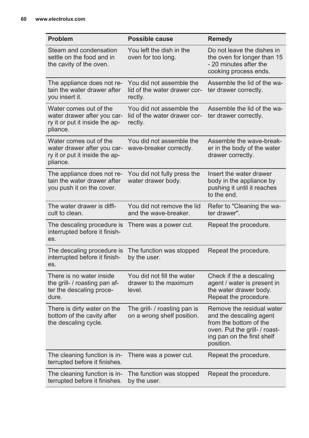| <b>Problem</b>                                                                                      | Possible cause                                                      | Remedy                                                                                                                                                     |
|-----------------------------------------------------------------------------------------------------|---------------------------------------------------------------------|------------------------------------------------------------------------------------------------------------------------------------------------------------|
| Steam and condensation<br>settle on the food and in<br>the cavity of the oven.                      | You left the dish in the<br>oven for too long.                      | Do not leave the dishes in<br>the oven for longer than 15<br>- 20 minutes after the<br>cooking process ends.                                               |
| The appliance does not re-<br>tain the water drawer after<br>you insert it.                         | You did not assemble the<br>lid of the water drawer cor-<br>rectly. | Assemble the lid of the wa-<br>ter drawer correctly.                                                                                                       |
| Water comes out of the<br>water drawer after you car-<br>ry it or put it inside the ap-<br>pliance. | You did not assemble the<br>lid of the water drawer cor-<br>rectly. | Assemble the lid of the wa-<br>ter drawer correctly.                                                                                                       |
| Water comes out of the<br>water drawer after you car-<br>ry it or put it inside the ap-<br>pliance. | You did not assemble the<br>wave-breaker correctly.                 | Assemble the wave-break-<br>er in the body of the water<br>drawer correctly.                                                                               |
| The appliance does not re-<br>tain the water drawer after<br>you push it on the cover.              | You did not fully press the<br>water drawer body.                   | Insert the water drawer<br>body in the appliance by<br>pushing it until it reaches<br>to the end.                                                          |
| The water drawer is diffi-<br>cult to clean.                                                        | You did not remove the lid<br>and the wave-breaker.                 | Refer to "Cleaning the wa-<br>ter drawer".                                                                                                                 |
| The descaling procedure is<br>interrupted before it finish-<br>es.                                  | There was a power cut.                                              | Repeat the procedure.                                                                                                                                      |
| The descaling procedure is<br>interrupted before it finish-<br>es.                                  | The function was stopped<br>by the user.                            | Repeat the procedure.                                                                                                                                      |
| There is no water inside<br>the grill- / roasting pan af-<br>ter the descaling proce-<br>dure.      | You did not fill the water<br>drawer to the maximum<br>level.       | Check if the a descaling<br>agent / water is present in<br>the water drawer body.<br>Repeat the procedure.                                                 |
| There is dirty water on the<br>bottom of the cavity after<br>the descaling cycle.                   | The grill- / roasting pan is<br>on a wrong shelf position.          | Remove the residual water<br>and the descaling agent<br>from the bottom of the<br>oven. Put the grill- / roast-<br>ing pan on the first shelf<br>position. |
| The cleaning function is in-<br>terrupted before it finishes.                                       | There was a power cut.                                              | Repeat the procedure.                                                                                                                                      |
| The cleaning function is in-<br>terrupted before it finishes.                                       | The function was stopped<br>by the user.                            | Repeat the procedure.                                                                                                                                      |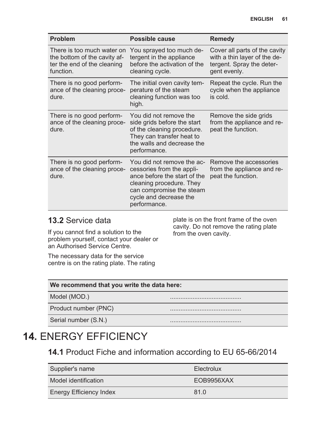<span id="page-60-0"></span>

| <b>Problem</b>                                                                                         | Possible cause                                                                                                                                                                            | Remedy                                                                                                     |
|--------------------------------------------------------------------------------------------------------|-------------------------------------------------------------------------------------------------------------------------------------------------------------------------------------------|------------------------------------------------------------------------------------------------------------|
| There is too much water on<br>the bottom of the cavity af-<br>ter the end of the cleaning<br>function. | You sprayed too much de-<br>tergent in the appliance<br>before the activation of the<br>cleaning cycle.                                                                                   | Cover all parts of the cavity<br>with a thin layer of the de-<br>tergent. Spray the deter-<br>gent evenly. |
| There is no good perform-<br>ance of the cleaning proce-<br>dure.                                      | The initial oven cavity tem-<br>perature of the steam<br>cleaning function was too<br>high.                                                                                               | Repeat the cycle. Run the<br>cycle when the appliance<br>is cold.                                          |
| There is no good perform-<br>ance of the cleaning proce-<br>dure.                                      | You did not remove the<br>side grids before the start<br>of the cleaning procedure.<br>They can transfer heat to<br>the walls and decrease the<br>performance.                            | Remove the side grids<br>from the appliance and re-<br>peat the function.                                  |
| There is no good perform-<br>ance of the cleaning proce-<br>dure.                                      | You did not remove the ac-<br>cessories from the appli-<br>ance before the start of the<br>cleaning procedure. They<br>can compromise the steam<br>cycle and decrease the<br>performance. | Remove the accessories<br>from the appliance and re-<br>peat the function.                                 |

### **13.2** Service data

If you cannot find a solution to the problem yourself, contact your dealer or an Authorised Service Centre.

plate is on the front frame of the oven cavity. Do not remove the rating plate from the oven cavity.

The necessary data for the service centre is on the rating plate. The rating

#### **We recommend that you write the data here:**

Model (MOD.)

Product number (PNC)

Serial number (S.N.)

## **14.** ENERGY EFFICIENCY

**14.1** Product Fiche and information according to EU 65-66/2014

| Supplier's name         | Electrolux |
|-------------------------|------------|
| Model identification    | EOB9956XAX |
| Energy Efficiency Index | 81.0       |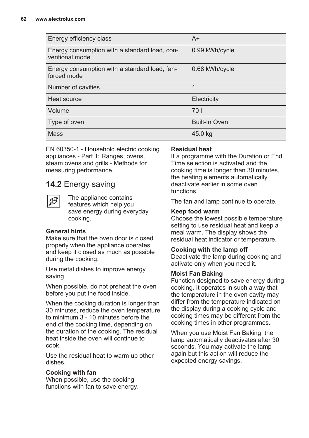| Energy efficiency class                                         | $A+$                 |
|-----------------------------------------------------------------|----------------------|
| Energy consumption with a standard load, con-<br>ventional mode | 0.99 kWh/cycle       |
| Energy consumption with a standard load, fan-<br>forced mode    | 0.68 kWh/cycle       |
| Number of cavities                                              | 1                    |
| Heat source                                                     | Electricity          |
| Volume                                                          | 701                  |
| Type of oven                                                    | <b>Built-In Oven</b> |
| Mass                                                            | 45.0 kg              |

EN 60350-1 - Household electric cooking appliances - Part 1: Ranges, ovens, steam ovens and grills - Methods for measuring performance.

### **14.2** Energy saving

The appliance contains features which help you save energy during everyday cooking.

#### **General hints**

Make sure that the oven door is closed properly when the appliance operates and keep it closed as much as possible during the cooking.

Use metal dishes to improve energy saving.

When possible, do not preheat the oven before you put the food inside.

When the cooking duration is longer than 30 minutes, reduce the oven temperature to minimum 3 - 10 minutes before the end of the cooking time, depending on the duration of the cooking. The residual heat inside the oven will continue to cook.

Use the residual heat to warm up other dishes.

#### **Cooking with fan**

When possible, use the cooking functions with fan to save energy.

#### **Residual heat**

If a programme with the Duration or End Time selection is activated and the cooking time is longer than 30 minutes, the heating elements automatically deactivate earlier in some oven functions.

The fan and lamp continue to operate.

#### **Keep food warm**

Choose the lowest possible temperature setting to use residual heat and keep a meal warm. The display shows the residual heat indicator or temperature.

#### **Cooking with the lamp off**

Deactivate the lamp during cooking and activate only when you need it.

#### **Moist Fan Baking**

Function designed to save energy during cooking. It operates in such a way that the temperature in the oven cavity may differ from the temperature indicated on the display during a cooking cycle and cooking times may be different from the cooking times in other programmes.

When you use Moist Fan Baking, the lamp automatically deactivates after 30 seconds. You may activate the lamp again but this action will reduce the expected energy savings.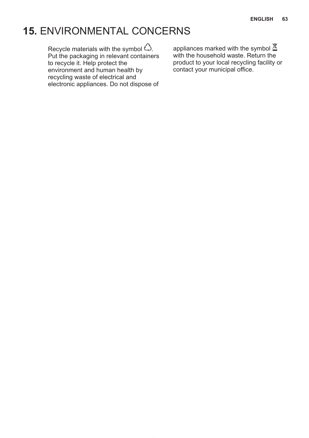## **15.** ENVIRONMENTAL CONCERNS

Recycle materials with the symbol  $\hat{\mathcal{C}}$ . Put the packaging in relevant containers to recycle it. Help protect the environment and human health by recycling waste of electrical and electronic appliances. Do not dispose of

appliances marked with the symbol  $\mathbb{\Sigma}$ with the household waste. Return the product to your local recycling facility or contact your municipal office.